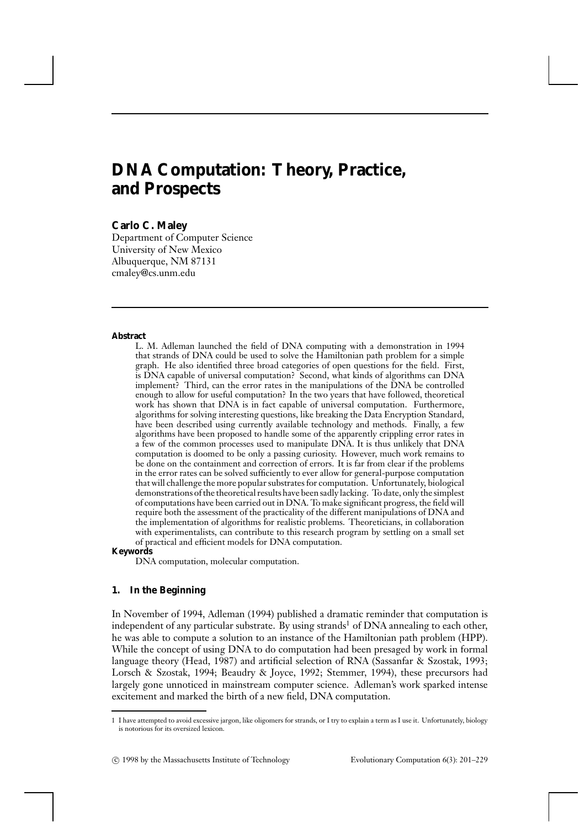# **DNA Computation: Theory, Practice, and Prospects**

# **Carlo C. Maley**

Department of Computer Science University of New Mexico Albuquerque, NM 87131 cmaley@cs.unm.edu

#### **Abstract**

L. M. Adleman launched the field of DNA computing with a demonstration in 1994 that strands of DNA could be used to solve the Hamiltonian path problem for a simple graph. He also identified three broad categories of open questions for the field. First, is DNA capable of universal computation? Second, what kinds of algorithms can DNA implement? Third, can the error rates in the manipulations of the DNA be controlled enough to allow for useful computation? In the two years that have followed, theoretical work has shown that DNA is in fact capable of universal computation. Furthermore, algorithms for solving interesting questions, like breaking the Data Encryption Standard, have been described using currently available technology and methods. Finally, a few algorithms have been proposed to handle some of the apparently crippling error rates in a few of the common processes used to manipulate DNA. It is thus unlikely that DNA computation is doomed to be only a passing curiosity. However, much work remains to be done on the containment and correction of errors. It is far from clear if the problems in the error rates can be solved sufficiently to ever allow for general-purpose computation that will challenge the more popular substrates for computation. Unfortunately, biological demonstrations of the theoretical results have been sadly lacking. To date, only the simplest of computations have been carried out in DNA. To make significant progress, the field will require both the assessment of the practicality of the different manipulations of DNA and the implementation of algorithms for realistic problems. Theoreticians, in collaboration with experimentalists, can contribute to this research program by settling on a small set of practical and efficient models for DNA computation.

#### **Keywords**

DNA computation, molecular computation.

## **1. In the Beginning**

In November of 1994, Adleman (1994) published a dramatic reminder that computation is independent of any particular substrate. By using strands<sup>1</sup> of DNA annealing to each other, he was able to compute a solution to an instance of the Hamiltonian path problem (HPP). While the concept of using DNA to do computation had been presaged by work in formal language theory (Head, 1987) and artificial selection of RNA (Sassanfar & Szostak, 1993; Lorsch & Szostak, 1994; Beaudry & Joyce, 1992; Stemmer, 1994), these precursors had largely gone unnoticed in mainstream computer science. Adleman's work sparked intense excitement and marked the birth of a new field, DNA computation.

<sup>1</sup> I have attempted to avoid excessive jargon, like oligomers for strands, or I try to explain a term as I use it. Unfortunately, biology is notorious for its oversized lexicon.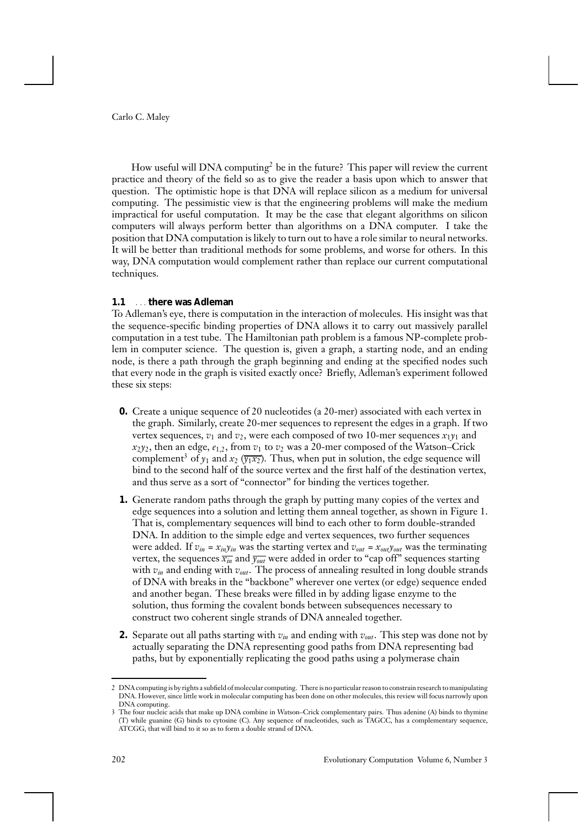How useful will DNA computing2 be in the future? This paper will review the current practice and theory of the field so as to give the reader a basis upon which to answer that question. The optimistic hope is that DNA will replace silicon as a medium for universal computing. The pessimistic view is that the engineering problems will make the medium impractical for useful computation. It may be the case that elegant algorithms on silicon computers will always perform better than algorithms on a DNA computer. I take the position that DNA computation is likely to turn out to have a role similar to neural networks. It will be better than traditional methods for some problems, and worse for others. In this way, DNA computation would complement rather than replace our current computational techniques.

#### **1.1 there was Adleman**

To Adleman's eye, there is computation in the interaction of molecules. His insight was that the sequence-specific binding properties of DNA allows it to carry out massively parallel computation in a test tube. The Hamiltonian path problem is a famous NP-complete problem in computer science. The question is, given a graph, a starting node, and an ending node, is there a path through the graph beginning and ending at the specified nodes such that every node in the graph is visited exactly once? Briefly, Adleman's experiment followed these six steps:

- **0.** Create a unique sequence of 20 nucleotides (a 20-mer) associated with each vertex in the graph. Similarly, create 20-mer sequences to represent the edges in a graph. If two vertex sequences,  $v_1$  and  $v_2$ , were each composed of two 10-mer sequences  $x_1y_1$  and  $x_2y_2$ , then an edge,  $e_{1,2}$ , from  $v_1$  to  $v_2$  was a 20-mer composed of the Watson–Crick complement<sup>3</sup> of  $y_1$  and  $x_2$  ( $\overline{y_1x_2}$ ). Thus, when put in solution, the edge sequence will bind to the second half of the source vertex and the first half of the destination vertex, and thus serve as a sort of "connector" for binding the vertices together.
- **1.** Generate random paths through the graph by putting many copies of the vertex and edge sequences into a solution and letting them anneal together, as shown in Figure 1. That is, complementary sequences will bind to each other to form double-stranded DNA. In addition to the simple edge and vertex sequences, two further sequences were added. If  $v_{in} = x_{in}y_{in}$  was the starting vertex and  $v_{out} = x_{out}y_{out}$  was the terminating vertex, the sequences  $\overline{x_{in}}$  and  $\overline{y_{out}}$  were added in order to "cap off" sequences starting with *vin* and ending with *vout*. The process of annealing resulted in long double strands of DNA with breaks in the "backbone" wherever one vertex (or edge) sequence ended and another began. These breaks were filled in by adding ligase enzyme to the solution, thus forming the covalent bonds between subsequences necessary to construct two coherent single strands of DNA annealed together.
- **2.** Separate out all paths starting with *vin* and ending with *vout*. This step was done not by actually separating the DNA representing good paths from DNA representing bad paths, but by exponentially replicating the good paths using a polymerase chain

<sup>2</sup> DNA computing is by rights a subfield of molecular computing. There is no particular reason to constrain research to manipulating DNA. However, since little work in molecular computing has been done on other molecules, this review will focus narrowly upon

DNA computing. 3 The four nucleic acids that make up DNA combine in Watson–Crick complementary pairs. Thus adenine (A) binds to thymine (T) while guanine (G) binds to cytosine (C). Any sequence of nucleotides, such as TAGCC, has a complementary sequence, ATCGG, that will bind to it so as to form a double strand of DNA.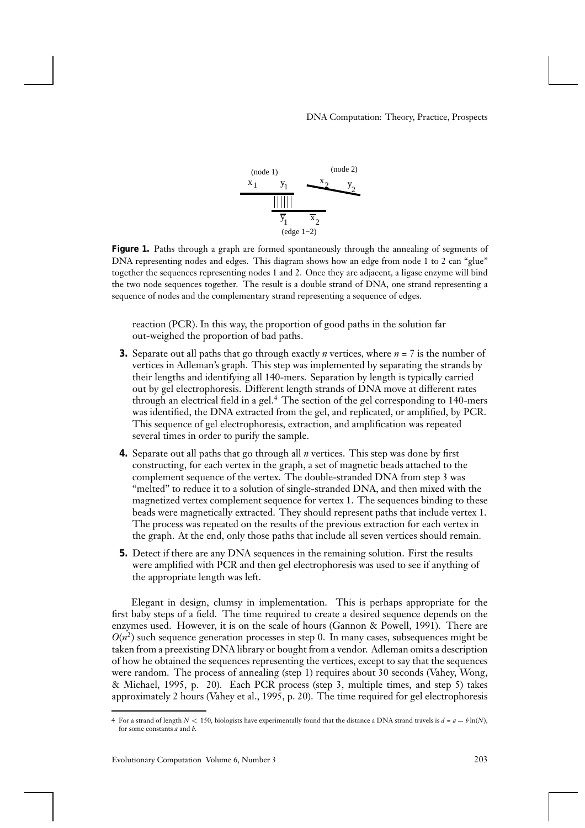

Figure 1. Paths through a graph are formed spontaneously through the annealing of segments of DNA representing nodes and edges. This diagram shows how an edge from node 1 to 2 can "glue" together the sequences representing nodes 1 and 2. Once they are adjacent, a ligase enzyme will bind the two node sequences together. The result is a double strand of DNA, one strand representing a sequence of nodes and the complementary strand representing a sequence of edges.

reaction (PCR). In this way, the proportion of good paths in the solution far out-weighed the proportion of bad paths.

- **3.** Separate out all paths that go through exactly *n* vertices, where *n* = 7 is the number of vertices in Adleman's graph. This step was implemented by separating the strands by their lengths and identifying all 140-mers. Separation by length is typically carried out by gel electrophoresis. Different length strands of DNA move at different rates through an electrical field in a gel. $4$  The section of the gel corresponding to 140-mers was identified, the DNA extracted from the gel, and replicated, or amplified, by PCR. This sequence of gel electrophoresis, extraction, and amplification was repeated several times in order to purify the sample.
- **4.** Separate out all paths that go through all *n* vertices. This step was done by first constructing, for each vertex in the graph, a set of magnetic beads attached to the complement sequence of the vertex. The double-stranded DNA from step 3 was "melted" to reduce it to a solution of single-stranded DNA, and then mixed with the magnetized vertex complement sequence for vertex 1. The sequences binding to these beads were magnetically extracted. They should represent paths that include vertex 1. The process was repeated on the results of the previous extraction for each vertex in the graph. At the end, only those paths that include all seven vertices should remain.
- **5.** Detect if there are any DNA sequences in the remaining solution. First the results were amplified with PCR and then gel electrophoresis was used to see if anything of the appropriate length was left.

Elegant in design, clumsy in implementation. This is perhaps appropriate for the first baby steps of a field. The time required to create a desired sequence depends on the enzymes used. However, it is on the scale of hours (Gannon & Powell, 1991). There are  $O(n^2)$  such sequence generation processes in step 0. In many cases, subsequences might be taken from a preexisting DNA library or bought from a vendor. Adleman omits a description of how he obtained the sequences representing the vertices, except to say that the sequences were random. The process of annealing (step 1) requires about 30 seconds (Vahey, Wong, & Michael, 1995, p. 20). Each PCR process (step 3, multiple times, and step 5) takes approximately 2 hours (Vahey et al., 1995, p. 20). The time required for gel electrophoresis

<sup>4</sup> For a strand of length  $N < 150$ , biologists have experimentally found that the distance a DNA strand travels is  $d = a - b \ln(N)$ , for some constants *a* and *b*.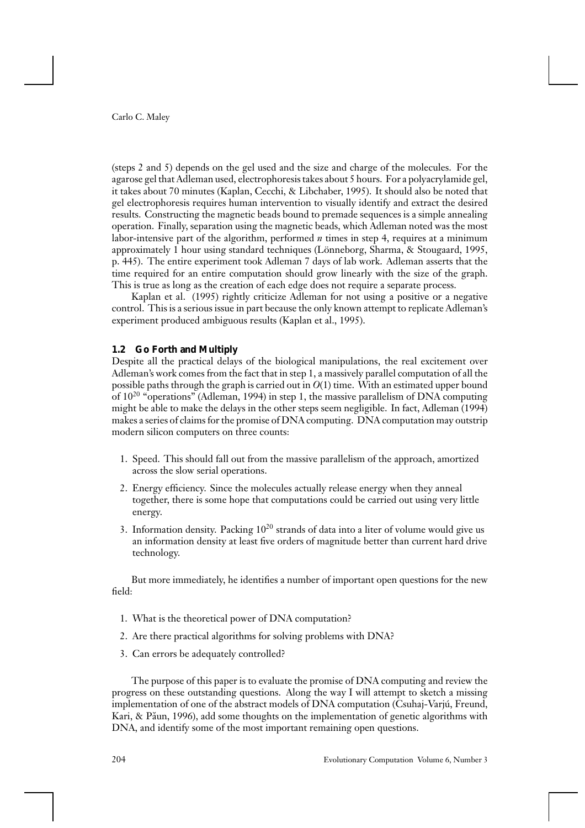(steps 2 and 5) depends on the gel used and the size and charge of the molecules. For the agarose gel that Adleman used, electrophoresis takes about 5 hours. For a polyacrylamide gel, it takes about 70 minutes (Kaplan, Cecchi, & Libchaber, 1995). It should also be noted that gel electrophoresis requires human intervention to visually identify and extract the desired results. Constructing the magnetic beads bound to premade sequences is a simple annealing operation. Finally, separation using the magnetic beads, which Adleman noted was the most labor-intensive part of the algorithm, performed *n* times in step 4, requires at a minimum approximately 1 hour using standard techniques (Lönneborg, Sharma,  $\&$  Stougaard, 1995, p. 445). The entire experiment took Adleman 7 days of lab work. Adleman asserts that the time required for an entire computation should grow linearly with the size of the graph. This is true as long as the creation of each edge does not require a separate process.

Kaplan et al. (1995) rightly criticize Adleman for not using a positive or a negative control. This is a serious issue in part because the only known attempt to replicate Adleman's experiment produced ambiguous results (Kaplan et al., 1995).

## **1.2 Go Forth and Multiply**

Despite all the practical delays of the biological manipulations, the real excitement over Adleman's work comes from the fact that in step 1, a massively parallel computation of all the possible paths through the graph is carried out in *O*(1) time. With an estimated upper bound of  $10^{20}$  "operations" (Adleman, 1994) in step 1, the massive parallelism of DNA computing might be able to make the delays in the other steps seem negligible. In fact, Adleman (1994) makes a series of claims for the promise of DNA computing. DNA computation may outstrip modern silicon computers on three counts:

- 1. Speed. This should fall out from the massive parallelism of the approach, amortized across the slow serial operations.
- 2. Energy efficiency. Since the molecules actually release energy when they anneal together, there is some hope that computations could be carried out using very little energy.
- 3. Information density. Packing  $10^{20}$  strands of data into a liter of volume would give us an information density at least five orders of magnitude better than current hard drive technology.

But more immediately, he identifies a number of important open questions for the new field:

- 1. What is the theoretical power of DNA computation?
- 2. Are there practical algorithms for solving problems with DNA?
- 3. Can errors be adequately controlled?

The purpose of this paper is to evaluate the promise of DNA computing and review the progress on these outstanding questions. Along the way I will attempt to sketch a missing implementation of one of the abstract models of DNA computation (Csuhaj-Varjú, Freund, Kari, & Păun, 1996), add some thoughts on the implementation of genetic algorithms with DNA, and identify some of the most important remaining open questions.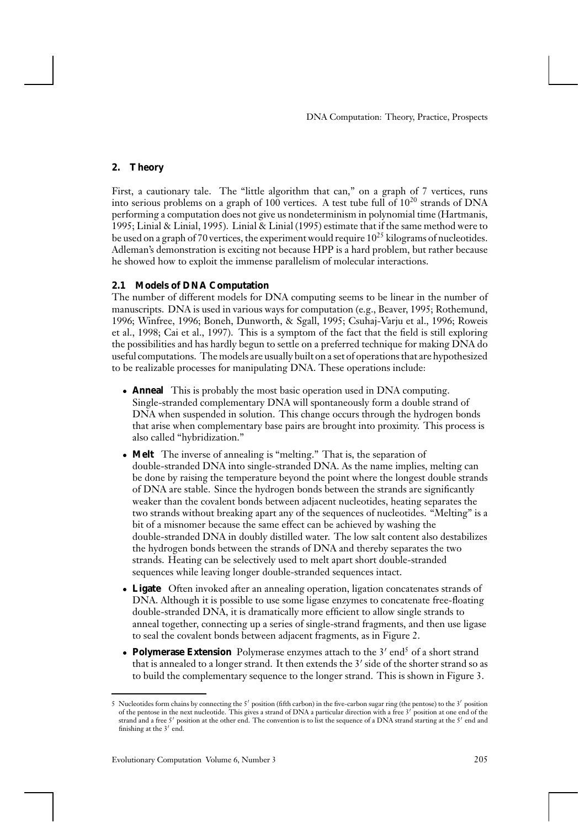DNA Computation: Theory, Practice, Prospects

# **2. Theory**

First, a cautionary tale. The "little algorithm that can," on a graph of 7 vertices, runs into serious problems on a graph of 100 vertices. A test tube full of  $10^{20}$  strands of DNA performing a computation does not give us nondeterminism in polynomial time (Hartmanis, 1995; Linial & Linial, 1995). Linial & Linial (1995) estimate that if the same method were to be used on a graph of 70 vertices, the experiment would require  $10^{25}$  kilograms of nucleotides. Adleman's demonstration is exciting not because HPP is a hard problem, but rather because he showed how to exploit the immense parallelism of molecular interactions.

## **2.1 Models of DNA Computation**

The number of different models for DNA computing seems to be linear in the number of manuscripts. DNA is used in various ways for computation (e.g., Beaver, 1995; Rothemund, 1996; Winfree, 1996; Boneh, Dunworth, & Sgall, 1995; Csuhaj-Varju et al., 1996; Roweis et al., 1998; Cai et al., 1997). This is a symptom of the fact that the field is still exploring the possibilities and has hardly begun to settle on a preferred technique for making DNA do useful computations. The models are usually built on a set of operations that are hypothesized to be realizable processes for manipulating DNA. These operations include:

- **Anneal** This is probably the most basic operation used in DNA computing. Single-stranded complementary DNA will spontaneously form a double strand of DNA when suspended in solution. This change occurs through the hydrogen bonds that arise when complementary base pairs are brought into proximity. This process is also called "hybridization."
- **Melt** The inverse of annealing is "melting." That is, the separation of double-stranded DNA into single-stranded DNA. As the name implies, melting can be done by raising the temperature beyond the point where the longest double strands of DNA are stable. Since the hydrogen bonds between the strands are significantly weaker than the covalent bonds between adjacent nucleotides, heating separates the two strands without breaking apart any of the sequences of nucleotides. "Melting" is a bit of a misnomer because the same effect can be achieved by washing the double-stranded DNA in doubly distilled water. The low salt content also destabilizes the hydrogen bonds between the strands of DNA and thereby separates the two strands. Heating can be selectively used to melt apart short double-stranded sequences while leaving longer double-stranded sequences intact.
- **Ligate** Often invoked after an annealing operation, ligation concatenates strands of DNA. Although it is possible to use some ligase enzymes to concatenate free-floating double-stranded DNA, it is dramatically more efficient to allow single strands to anneal together, connecting up a series of single-strand fragments, and then use ligase to seal the covalent bonds between adjacent fragments, as in Figure 2.
- **Polymerase Extension** Polymerase enzymes attach to the 3' end<sup>5</sup> of a short strand that is annealed to a longer strand. It then extends the  $3^\prime$  side of the shorter strand so as to build the complementary sequence to the longer strand. This is shown in Figure 3.

<sup>5</sup> Nucleotides form chains by connecting the  $5'$  position (fifth carbon) in the five-carbon sugar ring (the pentose) to the  $3'$  position of the pentose in the next nucleotide. This gives a strand of DNA a particular direction with a free 3' position at one end of the strand and a free  $5'$  position at the other end. The convention is to list the sequence of a DNA strand starting at the  $5'$  end and finishing at the  $3^{\prime}$  end.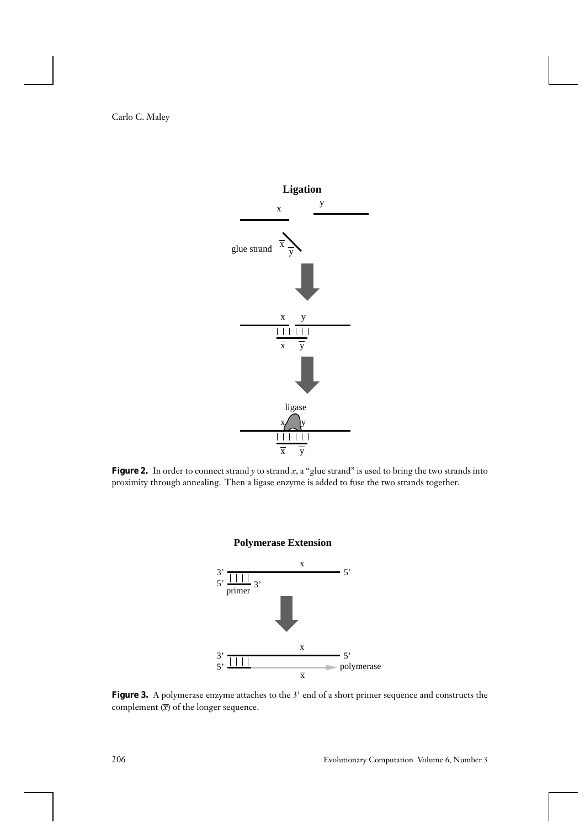

**Figure 2.** In order to connect strand *y* to strand *x*, a "glue strand" is used to bring the two strands into proximity through annealing. Then a ligase enzyme is added to fuse the two strands together.



**Figure 3.** A polymerase enzyme attaches to the 3' end of a short primer sequence and constructs the complement  $(\overline{x})$  of the longer sequence.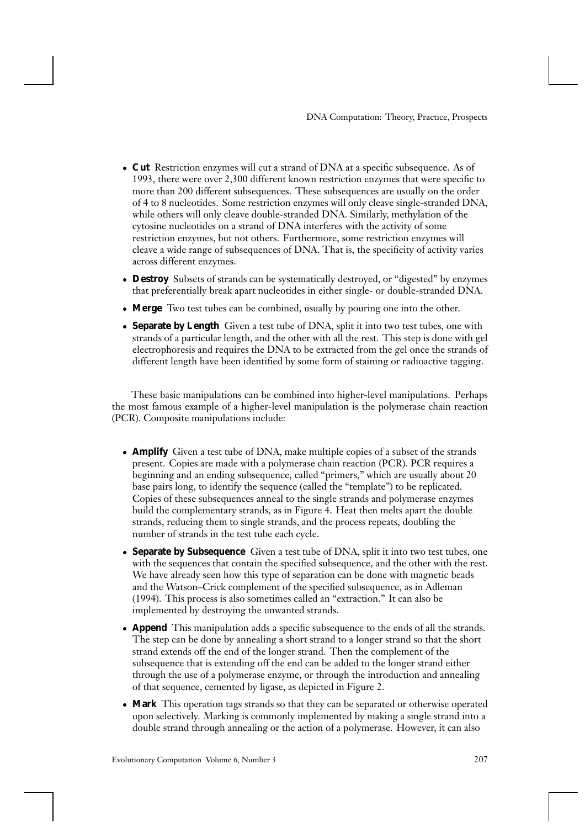- **Cut** Restriction enzymes will cut a strand of DNA at a specific subsequence. As of 1993, there were over 2,300 different known restriction enzymes that were specific to more than 200 different subsequences. These subsequences are usually on the order of 4 to 8 nucleotides. Some restriction enzymes will only cleave single-stranded DNA, while others will only cleave double-stranded DNA. Similarly, methylation of the cytosine nucleotides on a strand of DNA interferes with the activity of some restriction enzymes, but not others. Furthermore, some restriction enzymes will cleave a wide range of subsequences of DNA. That is, the specificity of activity varies across different enzymes.
- **Destroy** Subsets of strands can be systematically destroyed, or "digested" by enzymes that preferentially break apart nucleotides in either single- or double-stranded DNA.
- **Merge** Two test tubes can be combined, usually by pouring one into the other.
- **Separate by Length** Given a test tube of DNA, split it into two test tubes, one with strands of a particular length, and the other with all the rest. This step is done with gel electrophoresis and requires the DNA to be extracted from the gel once the strands of different length have been identified by some form of staining or radioactive tagging.

These basic manipulations can be combined into higher-level manipulations. Perhaps the most famous example of a higher-level manipulation is the polymerase chain reaction (PCR). Composite manipulations include:

- **Amplify** Given a test tube of DNA, make multiple copies of a subset of the strands present. Copies are made with a polymerase chain reaction (PCR). PCR requires a beginning and an ending subsequence, called "primers," which are usually about 20 base pairs long, to identify the sequence (called the "template") to be replicated. Copies of these subsequences anneal to the single strands and polymerase enzymes build the complementary strands, as in Figure 4. Heat then melts apart the double strands, reducing them to single strands, and the process repeats, doubling the number of strands in the test tube each cycle.
- **Separate by Subsequence** Given a test tube of DNA, split it into two test tubes, one with the sequences that contain the specified subsequence, and the other with the rest. We have already seen how this type of separation can be done with magnetic beads and the Watson–Crick complement of the specified subsequence, as in Adleman (1994). This process is also sometimes called an "extraction." It can also be implemented by destroying the unwanted strands.
- **Append** This manipulation adds a specific subsequence to the ends of all the strands. The step can be done by annealing a short strand to a longer strand so that the short strand extends off the end of the longer strand. Then the complement of the subsequence that is extending off the end can be added to the longer strand either through the use of a polymerase enzyme, or through the introduction and annealing of that sequence, cemented by ligase, as depicted in Figure 2.
- **Mark** This operation tags strands so that they can be separated or otherwise operated upon selectively. Marking is commonly implemented by making a single strand into a double strand through annealing or the action of a polymerase. However, it can also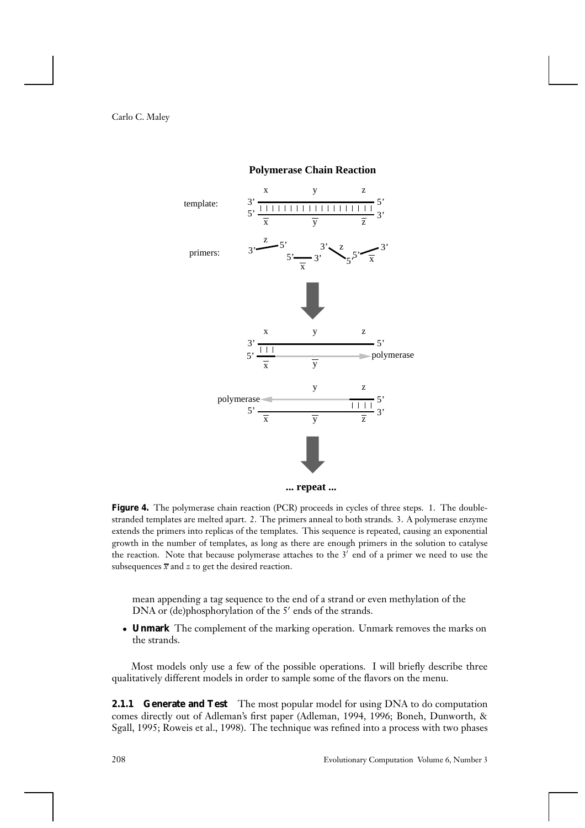

**Polymerase Chain Reaction**

Figure 4. The polymerase chain reaction (PCR) proceeds in cycles of three steps. 1. The doublestranded templates are melted apart. 2. The primers anneal to both strands. 3. A polymerase enzyme extends the primers into replicas of the templates. This sequence is repeated, causing an exponential growth in the number of templates, as long as there are enough primers in the solution to catalyse the reaction. Note that because polymerase attaches to the  $3'$  end of a primer we need to use the subsequences  $\bar{x}$  and  $z$  to get the desired reaction.

mean appending a tag sequence to the end of a strand or even methylation of the  $DNA$  or (de)phosphorylation of the  $5'$  ends of the strands.

 **Unmark** The complement of the marking operation. Unmark removes the marks on the strands.

Most models only use a few of the possible operations. I will briefly describe three qualitatively different models in order to sample some of the flavors on the menu.

**2.1.1 Generate and Test** The most popular model for using DNA to do computation comes directly out of Adleman's first paper (Adleman, 1994, 1996; Boneh, Dunworth, & Sgall, 1995; Roweis et al., 1998). The technique was refined into a process with two phases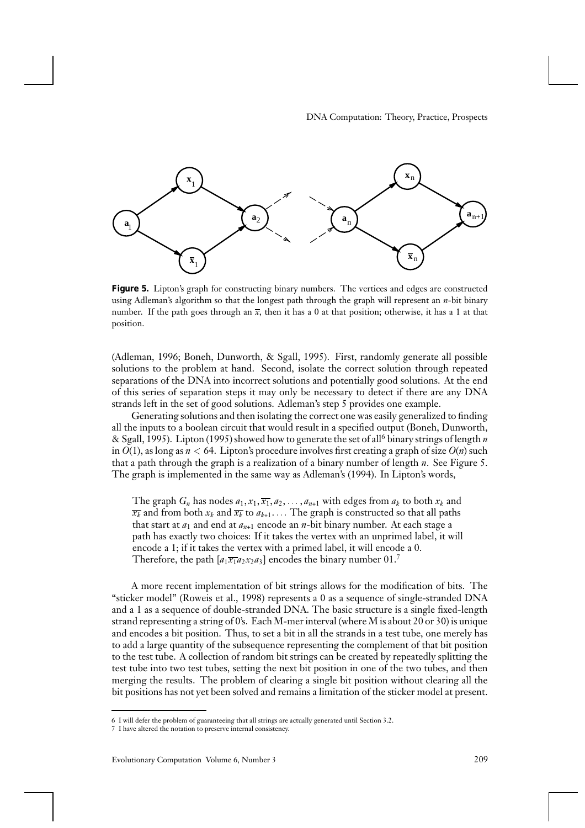

**Figure 5.** Lipton's graph for constructing binary numbers. The vertices and edges are constructed using Adleman's algorithm so that the longest path through the graph will represent an *n*-bit binary number. If the path goes through an  $\bar{x}$ , then it has a 0 at that position; otherwise, it has a 1 at that position.

(Adleman, 1996; Boneh, Dunworth, & Sgall, 1995). First, randomly generate all possible solutions to the problem at hand. Second, isolate the correct solution through repeated separations of the DNA into incorrect solutions and potentially good solutions. At the end of this series of separation steps it may only be necessary to detect if there are any DNA strands left in the set of good solutions. Adleman's step 5 provides one example.

Generating solutions and then isolating the correct one was easily generalized to finding all the inputs to a boolean circuit that would result in a specified output (Boneh, Dunworth, & Sgall, 1995). Lipton (1995) showed how to generate the set of all6 binary strings of length *n* in  $O(1)$ , as long as  $n < 64$ . Lipton's procedure involves first creating a graph of size  $O(n)$  such that a path through the graph is a realization of a binary number of length *n*. See Figure 5. The graph is implemented in the same way as Adleman's (1994). In Lipton's words,

The graph  $G_n$  has nodes  $a_1, x_1, \overline{x_1}, a_2, \ldots, a_{n+1}$  with edges from  $a_k$  to both  $x_k$  and  $\overline{x_k}$  and from both  $x_k$  and  $\overline{x_k}$  to  $a_{k+1}.$  ... The graph is constructed so that all paths that start at  $a_1$  and end at  $a_{n+1}$  encode an *n*-bit binary number. At each stage a path has exactly two choices: If it takes the vertex with an unprimed label, it will encode a 1; if it takes the vertex with a primed label, it will encode a 0. Therefore, the path  $[a_1\overline{x_1}a_2x_2a_3]$  encodes the binary number 01.<sup>7</sup>

A more recent implementation of bit strings allows for the modification of bits. The "sticker model" (Roweis et al., 1998) represents a 0 as a sequence of single-stranded DNA and a 1 as a sequence of double-stranded DNA. The basic structure is a single fixed-length strand representing a string of 0's. Each M-mer interval (where M is about 20 or 30) is unique and encodes a bit position. Thus, to set a bit in all the strands in a test tube, one merely has to add a large quantity of the subsequence representing the complement of that bit position to the test tube. A collection of random bit strings can be created by repeatedly splitting the test tube into two test tubes, setting the next bit position in one of the two tubes, and then merging the results. The problem of clearing a single bit position without clearing all the bit positions has not yet been solved and remains a limitation of the sticker model at present.

<sup>6</sup> I will defer the problem of guaranteeing that all strings are actually generated until Section 3.2.

<sup>7</sup> I have altered the notation to preserve internal consistency.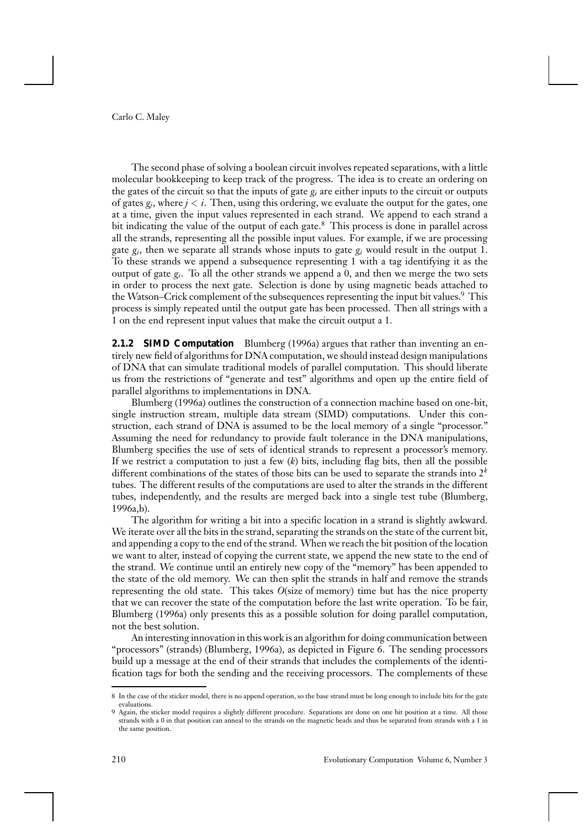The second phase of solving a boolean circuit involves repeated separations, with a little molecular bookkeeping to keep track of the progress. The idea is to create an ordering on the gates of the circuit so that the inputs of gate  $g_i$  are either inputs to the circuit or outputs of gates  $g_i$ , where  $j < i$ . Then, using this ordering, we evaluate the output for the gates, one at a time, given the input values represented in each strand. We append to each strand a bit indicating the value of the output of each gate.<sup>8</sup> This process is done in parallel across all the strands, representing all the possible input values. For example, if we are processing gate *gi*, then we separate all strands whose inputs to gate *gi* would result in the output 1. To these strands we append a subsequence representing 1 with a tag identifying it as the output of gate  $g_i$ . To all the other strands we append a 0, and then we merge the two sets in order to process the next gate. Selection is done by using magnetic beads attached to the Watson–Crick complement of the subsequences representing the input bit values.<sup>9</sup> This process is simply repeated until the output gate has been processed. Then all strings with a 1 on the end represent input values that make the circuit output a 1.

**2.1.2 SIMD Computation** Blumberg (1996a) argues that rather than inventing an entirely new field of algorithms for DNA computation, we should instead design manipulations of DNA that can simulate traditional models of parallel computation. This should liberate us from the restrictions of "generate and test" algorithms and open up the entire field of parallel algorithms to implementations in DNA.

Blumberg (1996a) outlines the construction of a connection machine based on one-bit, single instruction stream, multiple data stream (SIMD) computations. Under this construction, each strand of DNA is assumed to be the local memory of a single "processor." Assuming the need for redundancy to provide fault tolerance in the DNA manipulations, Blumberg specifies the use of sets of identical strands to represent a processor's memory. If we restrict a computation to just a few (*k*) bits, including flag bits, then all the possible different combinations of the states of those bits can be used to separate the strands into 2*<sup>k</sup>* tubes. The different results of the computations are used to alter the strands in the different tubes, independently, and the results are merged back into a single test tube (Blumberg, 1996a,b).

The algorithm for writing a bit into a specific location in a strand is slightly awkward. We iterate over all the bits in the strand, separating the strands on the state of the current bit, and appending a copy to the end of the strand. When we reach the bit position of the location we want to alter, instead of copying the current state, we append the new state to the end of the strand. We continue until an entirely new copy of the "memory" has been appended to the state of the old memory. We can then split the strands in half and remove the strands representing the old state. This takes *O*(size of memory) time but has the nice property that we can recover the state of the computation before the last write operation. To be fair, Blumberg (1996a) only presents this as a possible solution for doing parallel computation, not the best solution.

An interesting innovation in this work is an algorithm for doing communication between "processors" (strands) (Blumberg, 1996a), as depicted in Figure 6. The sending processors build up a message at the end of their strands that includes the complements of the identification tags for both the sending and the receiving processors. The complements of these

<sup>8</sup> In the case of the sticker model, there is no append operation, so the base strand must be long enough to include bits for the gate evaluations.

<sup>9</sup> Again, the sticker model requires a slightly different procedure. Separations are done on one bit position at a time. All those strands with a 0 in that position can anneal to the strands on the magnetic beads and thus be separated from strands with a 1 in the same position.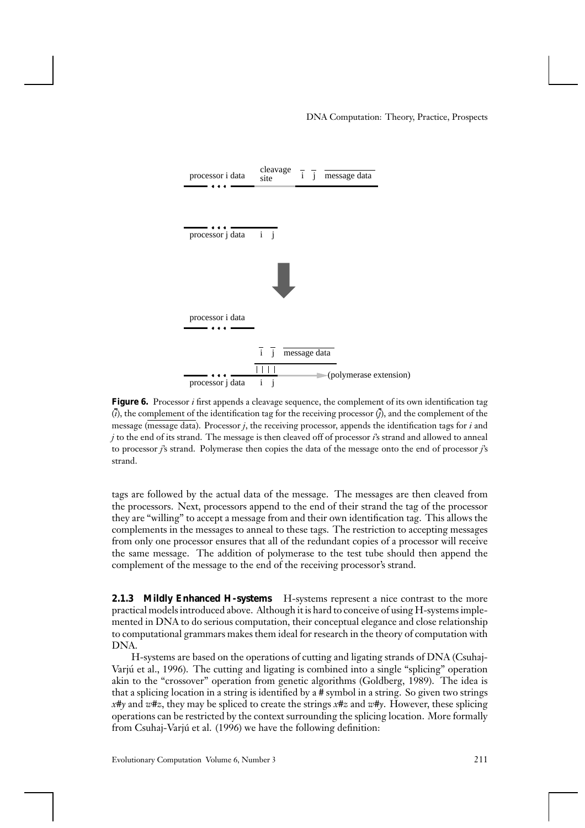

Figure 6. Processor *i* first appends a cleavage sequence, the complement of its own identification tag (*i*), the complement of the identification tag for the receiving processor (*j*), and the complement of the message (message data). Processor *j*, the receiving processor, appends the identification tags for *i* and *j* to the end of its strand. The message is then cleaved off of processor *i*'s strand and allowed to anneal to processor *j*'s strand. Polymerase then copies the data of the message onto the end of processor *j*'s strand.

tags are followed by the actual data of the message. The messages are then cleaved from the processors. Next, processors append to the end of their strand the tag of the processor they are "willing" to accept a message from and their own identification tag. This allows the complements in the messages to anneal to these tags. The restriction to accepting messages from only one processor ensures that all of the redundant copies of a processor will receive the same message. The addition of polymerase to the test tube should then append the complement of the message to the end of the receiving processor's strand.

**2.1.3 Mildly Enhanced H-systems** H-systems represent a nice contrast to the more practical models introduced above. Although it is hard to conceive of using H-systems implemented in DNA to do serious computation, their conceptual elegance and close relationship to computational grammars makes them ideal for research in the theory of computation with DNA.

H-systems are based on the operations of cutting and ligating strands of DNA (Csuhaj-Varjú et al., 1996). The cutting and ligating is combined into a single "splicing" operation akin to the "crossover" operation from genetic algorithms (Goldberg, 1989). The idea is that a splicing location in a string is identified by a # symbol in a string. So given two strings *x*#*y* and *w*#*z*, they may be spliced to create the strings *x*#*z* and *w*#*y*. However, these splicing operations can be restricted by the context surrounding the splicing location. More formally from Csuhaj-Varjú et al. (1996) we have the following definition: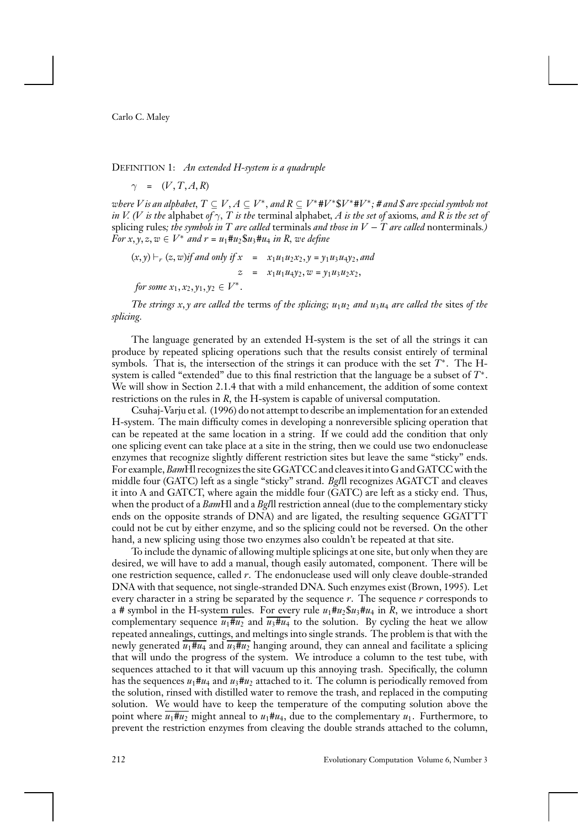DEFINITION 1: *An extended H-system is a quadruple*

 $\gamma$  =  $(V, T, A, R)$ 

where V is an alphabet,  $T \subseteq V, A \subseteq V^*$  , and  $R \subseteq V^* \# V^* \$V^* \# W^*;$  # and \$ are special symbols not *in V. (V is the* alphabet *of*  $\gamma$ , *T is the* terminal alphabet, *A is the set of* axioms, *and R is the set of* splicing rules; the symbols in  $T$  are called terminals and those in  $V - T$  are called nonterminals.) For  $x, y, z, w \in V^*$  and  $r = u_1 \# u_2 \$ {S} u\_3 \# u\_4 in R, we define

 $(x, y) \vdash_r (z, w)$  *if and only if*  $x = x_1 u_1 u_2 x_2, y = y_1 u_3 u_4 y_2$ , and  $z = x_1 u_1 u_4 y_2, w = y_1 u_3 u_2 x_2,$ *for some x*<sub>1</sub>, *x*<sub>2</sub>, *y*<sub>1</sub>, *y*<sub>2</sub>  $\in$   $V^*$ .

*The strings x*, *y are called the* terms *of the splicing; u*1*u*<sup>2</sup> *and u*3*u*<sup>4</sup> *are called the* sites *of the splicing.*

The language generated by an extended H-system is the set of all the strings it can produce by repeated splicing operations such that the results consist entirely of terminal symbols. That is, the intersection of the strings it can produce with the set  $T^*$ . The Hsystem is called "extended" due to this final restriction that the language be a subset of *T* . We will show in Section 2.1.4 that with a mild enhancement, the addition of some context restrictions on the rules in *R*, the H-system is capable of universal computation.

Csuhaj-Varju et al. (1996) do not attempt to describe an implementation for an extended H-system. The main difficulty comes in developing a nonreversible splicing operation that can be repeated at the same location in a string. If we could add the condition that only one splicing event can take place at a site in the string, then we could use two endonuclease enzymes that recognize slightly different restriction sites but leave the same "sticky" ends. For example, *Bam*Hl recognizes the site GGATCC and cleaves it into G and GATCC with the middle four (GATC) left as a single "sticky" strand. *Bgl*ll recognizes AGATCT and cleaves it into A and GATCT, where again the middle four (GATC) are left as a sticky end. Thus, when the product of a *Bam*Hl and a *Bgl*ll restriction anneal (due to the complementary sticky ends on the opposite strands of DNA) and are ligated, the resulting sequence GGATTT could not be cut by either enzyme, and so the splicing could not be reversed. On the other hand, a new splicing using those two enzymes also couldn't be repeated at that site.

To include the dynamic of allowing multiple splicings at one site, but only when they are desired, we will have to add a manual, though easily automated, component. There will be one restriction sequence, called *r*. The endonuclease used will only cleave double-stranded DNA with that sequence, not single-stranded DNA. Such enzymes exist (Brown, 1995). Let every character in a string be separated by the sequence *r*. The sequence *r* corresponds to a # symbol in the H-system rules. For every rule  $u_1 \# u_2 \$ u_3 \# u_4$  in *R*, we introduce a short complementary sequence  $\overline{u_1 \# u_2}$  and  $\overline{u_3 \# u_4}$  to the solution. By cycling the heat we allow repeated annealings, cuttings, and meltings into single strands. The problem is that with the newly generated  $\overline{u_1 \# u_4}$  and  $\overline{u_3 \# u_2}$  hanging around, they can anneal and facilitate a splicing that will undo the progress of the system. We introduce a column to the test tube, with sequences attached to it that will vacuum up this annoying trash. Specifically, the column has the sequences  $u_1 \# u_4$  and  $u_3 \# u_2$  attached to it. The column is periodically removed from the solution, rinsed with distilled water to remove the trash, and replaced in the computing solution. We would have to keep the temperature of the computing solution above the point where  $\overline{u_1 \# u_2}$  might anneal to  $u_1 \# u_4$ , due to the complementary  $u_1$ . Furthermore, to prevent the restriction enzymes from cleaving the double strands attached to the column,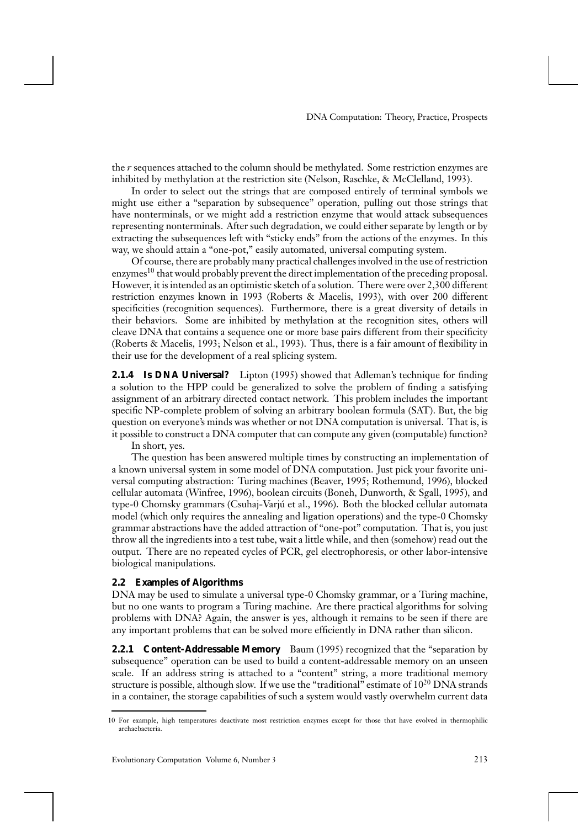the *r* sequences attached to the column should be methylated. Some restriction enzymes are inhibited by methylation at the restriction site (Nelson, Raschke, & McClelland, 1993).

In order to select out the strings that are composed entirely of terminal symbols we might use either a "separation by subsequence" operation, pulling out those strings that have nonterminals, or we might add a restriction enzyme that would attack subsequences representing nonterminals. After such degradation, we could either separate by length or by extracting the subsequences left with "sticky ends" from the actions of the enzymes. In this way, we should attain a "one-pot," easily automated, universal computing system.

Of course, there are probably many practical challenges involved in the use of restriction enzymes<sup>10</sup> that would probably prevent the direct implementation of the preceding proposal. However, it is intended as an optimistic sketch of a solution. There were over 2,300 different restriction enzymes known in 1993 (Roberts & Macelis, 1993), with over 200 different specificities (recognition sequences). Furthermore, there is a great diversity of details in their behaviors. Some are inhibited by methylation at the recognition sites, others will cleave DNA that contains a sequence one or more base pairs different from their specificity (Roberts & Macelis, 1993; Nelson et al., 1993). Thus, there is a fair amount of flexibility in their use for the development of a real splicing system.

**2.1.4 Is DNA Universal?** Lipton (1995) showed that Adleman's technique for finding a solution to the HPP could be generalized to solve the problem of finding a satisfying assignment of an arbitrary directed contact network. This problem includes the important specific NP-complete problem of solving an arbitrary boolean formula (SAT). But, the big question on everyone's minds was whether or not DNA computation is universal. That is, is it possible to construct a DNA computer that can compute any given (computable) function?

In short, yes.

The question has been answered multiple times by constructing an implementation of a known universal system in some model of DNA computation. Just pick your favorite universal computing abstraction: Turing machines (Beaver, 1995; Rothemund, 1996), blocked cellular automata (Winfree, 1996), boolean circuits (Boneh, Dunworth, & Sgall, 1995), and type-0 Chomsky grammars (Csuhaj-Varju et al., 1996). Both the blocked cellular automata ´ model (which only requires the annealing and ligation operations) and the type-0 Chomsky grammar abstractions have the added attraction of "one-pot" computation. That is, you just throw all the ingredients into a test tube, wait a little while, and then (somehow) read out the output. There are no repeated cycles of PCR, gel electrophoresis, or other labor-intensive biological manipulations.

## **2.2 Examples of Algorithms**

DNA may be used to simulate a universal type-0 Chomsky grammar, or a Turing machine, but no one wants to program a Turing machine. Are there practical algorithms for solving problems with DNA? Again, the answer is yes, although it remains to be seen if there are any important problems that can be solved more efficiently in DNA rather than silicon.

**2.2.1 Content-Addressable Memory** Baum (1995) recognized that the "separation by subsequence" operation can be used to build a content-addressable memory on an unseen scale. If an address string is attached to a "content" string, a more traditional memory structure is possible, although slow. If we use the "traditional" estimate of 10<sup>20</sup> DNA strands in a container, the storage capabilities of such a system would vastly overwhelm current data

<sup>10</sup> For example, high temperatures deactivate most restriction enzymes except for those that have evolved in thermophilic archaebacteria.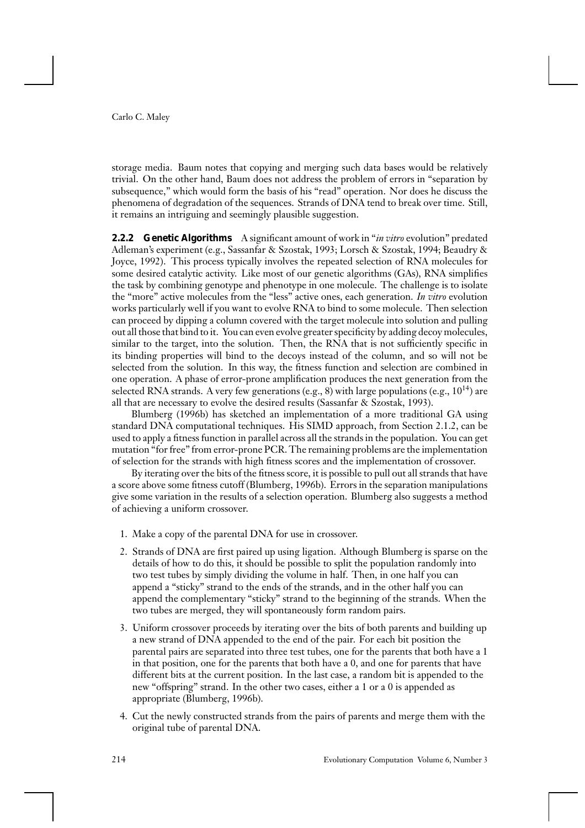storage media. Baum notes that copying and merging such data bases would be relatively trivial. On the other hand, Baum does not address the problem of errors in "separation by subsequence," which would form the basis of his "read" operation. Nor does he discuss the phenomena of degradation of the sequences. Strands of DNA tend to break over time. Still, it remains an intriguing and seemingly plausible suggestion.

**2.2.2 Genetic Algorithms** A significant amount of work in "*in vitro* evolution" predated Adleman's experiment (e.g., Sassanfar & Szostak, 1993; Lorsch & Szostak, 1994; Beaudry & Joyce, 1992). This process typically involves the repeated selection of RNA molecules for some desired catalytic activity. Like most of our genetic algorithms (GAs), RNA simplifies the task by combining genotype and phenotype in one molecule. The challenge is to isolate the "more" active molecules from the "less" active ones, each generation. *In vitro* evolution works particularly well if you want to evolve RNA to bind to some molecule. Then selection can proceed by dipping a column covered with the target molecule into solution and pulling out all those that bind to it. You can even evolve greater specificity by adding decoy molecules, similar to the target, into the solution. Then, the RNA that is not sufficiently specific in its binding properties will bind to the decoys instead of the column, and so will not be selected from the solution. In this way, the fitness function and selection are combined in one operation. A phase of error-prone amplification produces the next generation from the selected RNA strands. A very few generations (e.g., 8) with large populations (e.g.,  $10^{14}$ ) are all that are necessary to evolve the desired results (Sassanfar & Szostak, 1993).

Blumberg (1996b) has sketched an implementation of a more traditional GA using standard DNA computational techniques. His SIMD approach, from Section 2.1.2, can be used to apply a fitness function in parallel across all the strands in the population. You can get mutation "for free" from error-prone PCR. The remaining problems are the implementation of selection for the strands with high fitness scores and the implementation of crossover.

By iterating over the bits of the fitness score, it is possible to pull out all strands that have a score above some fitness cutoff (Blumberg, 1996b). Errors in the separation manipulations give some variation in the results of a selection operation. Blumberg also suggests a method of achieving a uniform crossover.

- 1. Make a copy of the parental DNA for use in crossover.
- 2. Strands of DNA are first paired up using ligation. Although Blumberg is sparse on the details of how to do this, it should be possible to split the population randomly into two test tubes by simply dividing the volume in half. Then, in one half you can append a "sticky" strand to the ends of the strands, and in the other half you can append the complementary "sticky" strand to the beginning of the strands. When the two tubes are merged, they will spontaneously form random pairs.
- 3. Uniform crossover proceeds by iterating over the bits of both parents and building up a new strand of DNA appended to the end of the pair. For each bit position the parental pairs are separated into three test tubes, one for the parents that both have a 1 in that position, one for the parents that both have a 0, and one for parents that have different bits at the current position. In the last case, a random bit is appended to the new "offspring" strand. In the other two cases, either a 1 or a 0 is appended as appropriate (Blumberg, 1996b).
- 4. Cut the newly constructed strands from the pairs of parents and merge them with the original tube of parental DNA.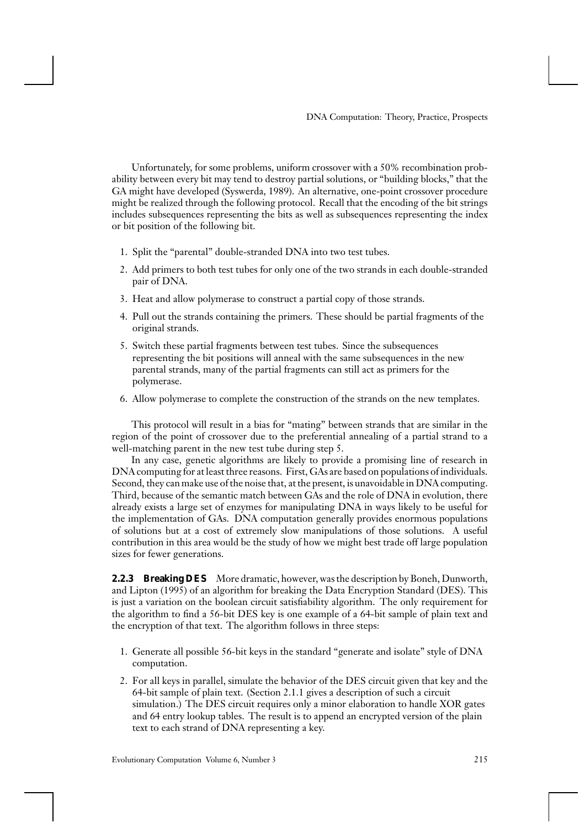Unfortunately, for some problems, uniform crossover with a 50% recombination probability between every bit may tend to destroy partial solutions, or "building blocks," that the GA might have developed (Syswerda, 1989). An alternative, one-point crossover procedure might be realized through the following protocol. Recall that the encoding of the bit strings includes subsequences representing the bits as well as subsequences representing the index or bit position of the following bit.

- 1. Split the "parental" double-stranded DNA into two test tubes.
- 2. Add primers to both test tubes for only one of the two strands in each double-stranded pair of DNA.
- 3. Heat and allow polymerase to construct a partial copy of those strands.
- 4. Pull out the strands containing the primers. These should be partial fragments of the original strands.
- 5. Switch these partial fragments between test tubes. Since the subsequences representing the bit positions will anneal with the same subsequences in the new parental strands, many of the partial fragments can still act as primers for the polymerase.
- 6. Allow polymerase to complete the construction of the strands on the new templates.

This protocol will result in a bias for "mating" between strands that are similar in the region of the point of crossover due to the preferential annealing of a partial strand to a well-matching parent in the new test tube during step 5.

In any case, genetic algorithms are likely to provide a promising line of research in DNA computing for at least three reasons. First, GAs are based on populations of individuals. Second, they can make use of the noise that, at the present, is unavoidable in DNA computing. Third, because of the semantic match between GAs and the role of DNA in evolution, there already exists a large set of enzymes for manipulating DNA in ways likely to be useful for the implementation of GAs. DNA computation generally provides enormous populations of solutions but at a cost of extremely slow manipulations of those solutions. A useful contribution in this area would be the study of how we might best trade off large population sizes for fewer generations.

**2.2.3 Breaking DES** More dramatic, however, was the description by Boneh, Dunworth, and Lipton (1995) of an algorithm for breaking the Data Encryption Standard (DES). This is just a variation on the boolean circuit satisfiability algorithm. The only requirement for the algorithm to find a 56-bit DES key is one example of a 64-bit sample of plain text and the encryption of that text. The algorithm follows in three steps:

- 1. Generate all possible 56-bit keys in the standard "generate and isolate" style of DNA computation.
- 2. For all keys in parallel, simulate the behavior of the DES circuit given that key and the 64-bit sample of plain text. (Section 2.1.1 gives a description of such a circuit simulation.) The DES circuit requires only a minor elaboration to handle XOR gates and 64 entry lookup tables. The result is to append an encrypted version of the plain text to each strand of DNA representing a key.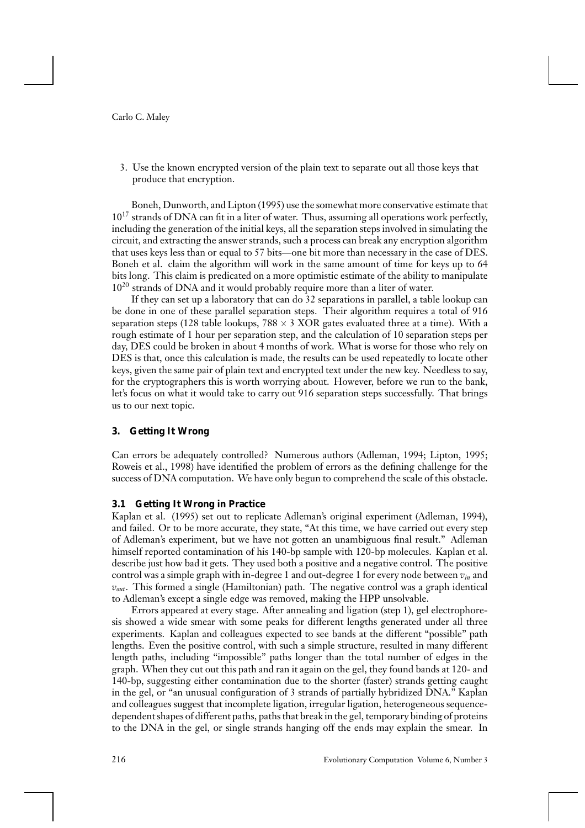3. Use the known encrypted version of the plain text to separate out all those keys that produce that encryption.

Boneh, Dunworth, and Lipton (1995) use the somewhat more conservative estimate that  $10^{17}$  strands of DNA can fit in a liter of water. Thus, assuming all operations work perfectly, including the generation of the initial keys, all the separation steps involved in simulating the circuit, and extracting the answer strands, such a process can break any encryption algorithm that uses keys less than or equal to 57 bits—one bit more than necessary in the case of DES. Boneh et al. claim the algorithm will work in the same amount of time for keys up to 64 bits long. This claim is predicated on a more optimistic estimate of the ability to manipulate 10<sup>20</sup> strands of DNA and it would probably require more than a liter of water.

If they can set up a laboratory that can do 32 separations in parallel, a table lookup can be done in one of these parallel separation steps. Their algorithm requires a total of 916 separation steps (128 table lookups, 788  $\times$  3 XOR gates evaluated three at a time). With a rough estimate of 1 hour per separation step, and the calculation of 10 separation steps per day, DES could be broken in about 4 months of work. What is worse for those who rely on DES is that, once this calculation is made, the results can be used repeatedly to locate other keys, given the same pair of plain text and encrypted text under the new key. Needless to say, for the cryptographers this is worth worrying about. However, before we run to the bank, let's focus on what it would take to carry out 916 separation steps successfully. That brings us to our next topic.

## **3. Getting It Wrong**

Can errors be adequately controlled? Numerous authors (Adleman, 1994; Lipton, 1995; Roweis et al., 1998) have identified the problem of errors as the defining challenge for the success of DNA computation. We have only begun to comprehend the scale of this obstacle.

## **3.1 Getting It Wrong in Practice**

Kaplan et al. (1995) set out to replicate Adleman's original experiment (Adleman, 1994), and failed. Or to be more accurate, they state, "At this time, we have carried out every step of Adleman's experiment, but we have not gotten an unambiguous final result." Adleman himself reported contamination of his 140-bp sample with 120-bp molecules. Kaplan et al. describe just how bad it gets. They used both a positive and a negative control. The positive control was a simple graph with in-degree 1 and out-degree 1 for every node between  $v_{in}$  and *vout*. This formed a single (Hamiltonian) path. The negative control was a graph identical to Adleman's except a single edge was removed, making the HPP unsolvable.

Errors appeared at every stage. After annealing and ligation (step 1), gel electrophoresis showed a wide smear with some peaks for different lengths generated under all three experiments. Kaplan and colleagues expected to see bands at the different "possible" path lengths. Even the positive control, with such a simple structure, resulted in many different length paths, including "impossible" paths longer than the total number of edges in the graph. When they cut out this path and ran it again on the gel, they found bands at 120- and 140-bp, suggesting either contamination due to the shorter (faster) strands getting caught in the gel, or "an unusual configuration of 3 strands of partially hybridized DNA." Kaplan and colleagues suggest that incomplete ligation, irregular ligation, heterogeneous sequencedependent shapes of different paths, paths that break in the gel, temporary binding of proteins to the DNA in the gel, or single strands hanging off the ends may explain the smear. In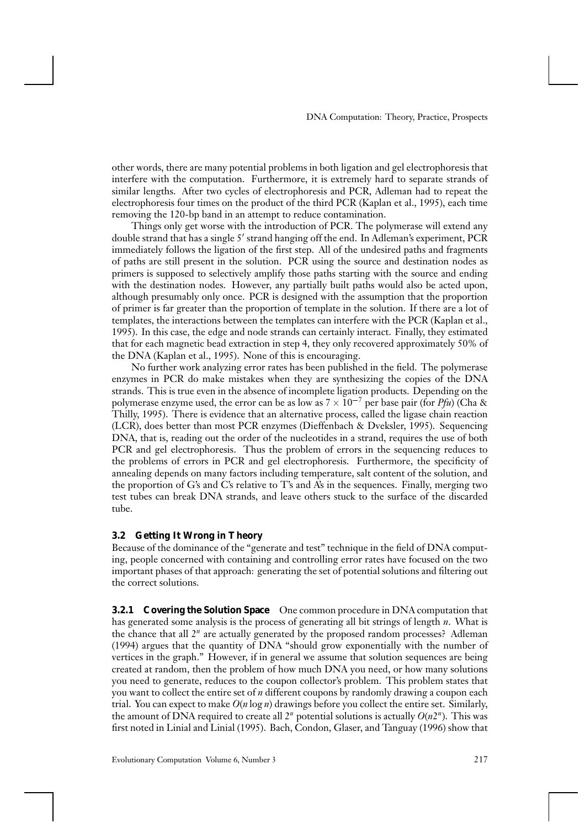other words, there are many potential problems in both ligation and gel electrophoresis that interfere with the computation. Furthermore, it is extremely hard to separate strands of similar lengths. After two cycles of electrophoresis and PCR, Adleman had to repeat the electrophoresis four times on the product of the third PCR (Kaplan et al., 1995), each time removing the 120-bp band in an attempt to reduce contamination.

Things only get worse with the introduction of PCR. The polymerase will extend any double strand that has a single 5' strand hanging off the end. In Adleman's experiment, PCR immediately follows the ligation of the first step. All of the undesired paths and fragments of paths are still present in the solution. PCR using the source and destination nodes as primers is supposed to selectively amplify those paths starting with the source and ending with the destination nodes. However, any partially built paths would also be acted upon, although presumably only once. PCR is designed with the assumption that the proportion of primer is far greater than the proportion of template in the solution. If there are a lot of templates, the interactions between the templates can interfere with the PCR (Kaplan et al., 1995). In this case, the edge and node strands can certainly interact. Finally, they estimated that for each magnetic bead extraction in step 4, they only recovered approximately 50% of the DNA (Kaplan et al., 1995). None of this is encouraging.

No further work analyzing error rates has been published in the field. The polymerase enzymes in PCR do make mistakes when they are synthesizing the copies of the DNA strands. This is true even in the absence of incomplete ligation products. Depending on the polymerase enzyme used, the error can be as low as  $7\times 10^{-7}$  per base pair (for *Pfu*) (Cha & Thilly, 1995). There is evidence that an alternative process, called the ligase chain reaction (LCR), does better than most PCR enzymes (Dieffenbach & Dveksler, 1995). Sequencing DNA, that is, reading out the order of the nucleotides in a strand, requires the use of both PCR and gel electrophoresis. Thus the problem of errors in the sequencing reduces to the problems of errors in PCR and gel electrophoresis. Furthermore, the specificity of annealing depends on many factors including temperature, salt content of the solution, and the proportion of G's and C's relative to T's and A's in the sequences. Finally, merging two test tubes can break DNA strands, and leave others stuck to the surface of the discarded tube.

## **3.2 Getting It Wrong in Theory**

Because of the dominance of the "generate and test" technique in the field of DNA computing, people concerned with containing and controlling error rates have focused on the two important phases of that approach: generating the set of potential solutions and filtering out the correct solutions.

**3.2.1 Covering the Solution Space** One common procedure in DNA computation that has generated some analysis is the process of generating all bit strings of length *n*. What is the chance that all 2*<sup>n</sup>* are actually generated by the proposed random processes? Adleman (1994) argues that the quantity of DNA "should grow exponentially with the number of vertices in the graph." However, if in general we assume that solution sequences are being created at random, then the problem of how much DNA you need, or how many solutions you need to generate, reduces to the coupon collector's problem. This problem states that you want to collect the entire set of *n* different coupons by randomly drawing a coupon each trial. You can expect to make *O*(*n* log *n*) drawings before you collect the entire set. Similarly, the amount of DNA required to create all  $2^n$  potential solutions is actually  $O(n2^n)$ . This was first noted in Linial and Linial (1995). Bach, Condon, Glaser, and Tanguay (1996) show that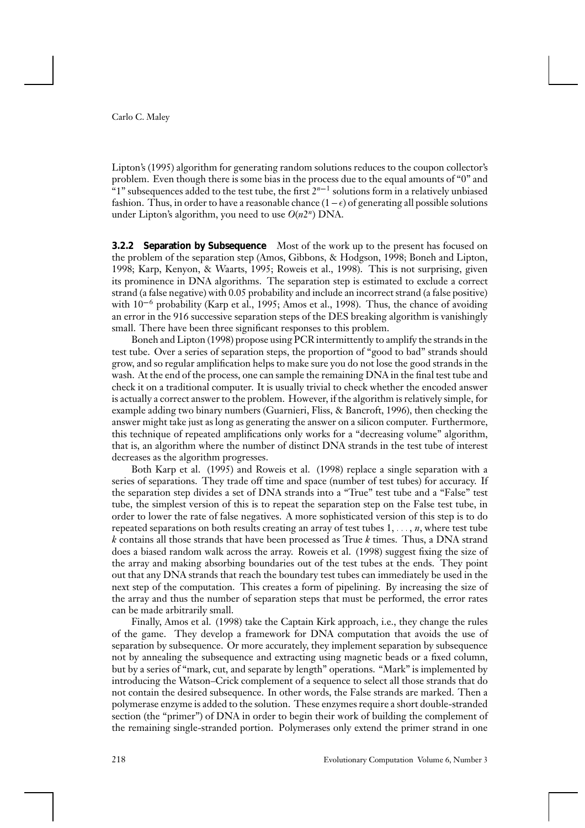Lipton's (1995) algorithm for generating random solutions reduces to the coupon collector's problem. Even though there is some bias in the process due to the equal amounts of "0" and "1" subsequences added to the test tube, the first  $2^{n-1}$  solutions form in a relatively unbiased fashion. Thus, in order to have a reasonable chance  $(1 - \epsilon)$  of generating all possible solutions under Lipton's algorithm, you need to use *O*(*n*2*<sup>n</sup>*) DNA.

**3.2.2 Separation by Subsequence** Most of the work up to the present has focused on the problem of the separation step (Amos, Gibbons, & Hodgson, 1998; Boneh and Lipton, 1998; Karp, Kenyon, & Waarts, 1995; Roweis et al., 1998). This is not surprising, given its prominence in DNA algorithms. The separation step is estimated to exclude a correct strand (a false negative) with 0.05 probability and include an incorrect strand (a false positive) with  $10^{-6}$  probability (Karp et al., 1995; Amos et al., 1998). Thus, the chance of avoiding an error in the 916 successive separation steps of the DES breaking algorithm is vanishingly small. There have been three significant responses to this problem.

Boneh and Lipton (1998) propose using PCR intermittently to amplify the strands in the test tube. Over a series of separation steps, the proportion of "good to bad" strands should grow, and so regular amplification helps to make sure you do not lose the good strands in the wash. At the end of the process, one can sample the remaining DNA in the final test tube and check it on a traditional computer. It is usually trivial to check whether the encoded answer is actually a correct answer to the problem. However, if the algorithm is relatively simple, for example adding two binary numbers (Guarnieri, Fliss, & Bancroft, 1996), then checking the answer might take just as long as generating the answer on a silicon computer. Furthermore, this technique of repeated amplifications only works for a "decreasing volume" algorithm, that is, an algorithm where the number of distinct DNA strands in the test tube of interest decreases as the algorithm progresses.

Both Karp et al. (1995) and Roweis et al. (1998) replace a single separation with a series of separations. They trade off time and space (number of test tubes) for accuracy. If the separation step divides a set of DNA strands into a "True" test tube and a "False" test tube, the simplest version of this is to repeat the separation step on the False test tube, in order to lower the rate of false negatives. A more sophisticated version of this step is to do repeated separations on both results creating an array of test tubes 1, ::: , *n*, where test tube *k* contains all those strands that have been processed as True *k* times. Thus, a DNA strand does a biased random walk across the array. Roweis et al. (1998) suggest fixing the size of the array and making absorbing boundaries out of the test tubes at the ends. They point out that any DNA strands that reach the boundary test tubes can immediately be used in the next step of the computation. This creates a form of pipelining. By increasing the size of the array and thus the number of separation steps that must be performed, the error rates can be made arbitrarily small.

Finally, Amos et al. (1998) take the Captain Kirk approach, i.e., they change the rules of the game. They develop a framework for DNA computation that avoids the use of separation by subsequence. Or more accurately, they implement separation by subsequence not by annealing the subsequence and extracting using magnetic beads or a fixed column, but by a series of "mark, cut, and separate by length" operations. "Mark" is implemented by introducing the Watson–Crick complement of a sequence to select all those strands that do not contain the desired subsequence. In other words, the False strands are marked. Then a polymerase enzyme is added to the solution. These enzymes require a short double-stranded section (the "primer") of DNA in order to begin their work of building the complement of the remaining single-stranded portion. Polymerases only extend the primer strand in one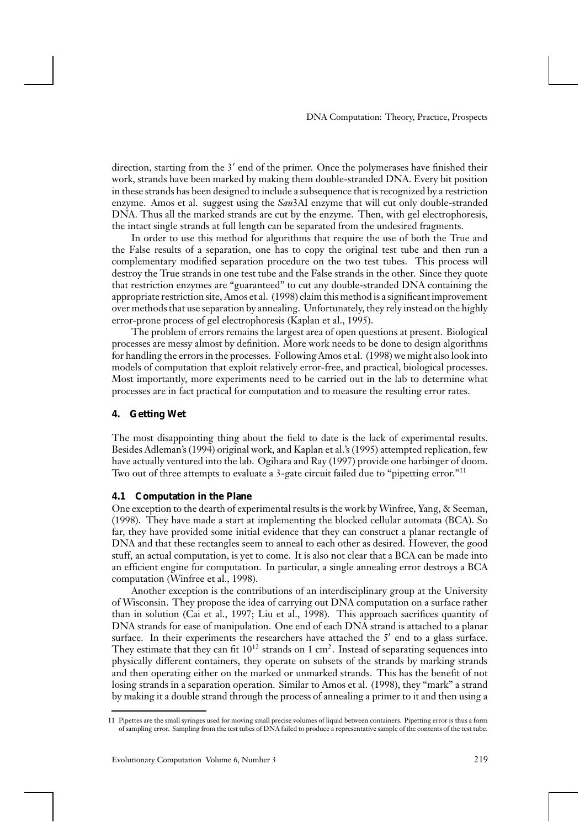direction, starting from the  $3'$  end of the primer. Once the polymerases have finished their work, strands have been marked by making them double-stranded DNA. Every bit position in these strands has been designed to include a subsequence that is recognized by a restriction enzyme. Amos et al. suggest using the *Sau*3AI enzyme that will cut only double-stranded DNA. Thus all the marked strands are cut by the enzyme. Then, with gel electrophoresis, the intact single strands at full length can be separated from the undesired fragments.

In order to use this method for algorithms that require the use of both the True and the False results of a separation, one has to copy the original test tube and then run a complementary modified separation procedure on the two test tubes. This process will destroy the True strands in one test tube and the False strands in the other. Since they quote that restriction enzymes are "guaranteed" to cut any double-stranded DNA containing the appropriate restriction site, Amos et al. (1998) claim this method is a significant improvement over methods that use separation by annealing. Unfortunately, they rely instead on the highly error-prone process of gel electrophoresis (Kaplan et al., 1995).

The problem of errors remains the largest area of open questions at present. Biological processes are messy almost by definition. More work needs to be done to design algorithms for handling the errors in the processes. Following Amos et al. (1998) we might also look into models of computation that exploit relatively error-free, and practical, biological processes. Most importantly, more experiments need to be carried out in the lab to determine what processes are in fact practical for computation and to measure the resulting error rates.

## **4. Getting Wet**

The most disappointing thing about the field to date is the lack of experimental results. Besides Adleman's (1994) original work, and Kaplan et al.'s (1995) attempted replication, few have actually ventured into the lab. Ogihara and Ray (1997) provide one harbinger of doom. Two out of three attempts to evaluate a 3-gate circuit failed due to "pipetting error."<sup>11</sup>

## **4.1 Computation in the Plane**

One exception to the dearth of experimental results is the work by Winfree, Yang, & Seeman, (1998). They have made a start at implementing the blocked cellular automata (BCA). So far, they have provided some initial evidence that they can construct a planar rectangle of DNA and that these rectangles seem to anneal to each other as desired. However, the good stuff, an actual computation, is yet to come. It is also not clear that a BCA can be made into an efficient engine for computation. In particular, a single annealing error destroys a BCA computation (Winfree et al., 1998).

Another exception is the contributions of an interdisciplinary group at the University of Wisconsin. They propose the idea of carrying out DNA computation on a surface rather than in solution (Cai et al., 1997; Liu et al., 1998). This approach sacrifices quantity of DNA strands for ease of manipulation. One end of each DNA strand is attached to a planar surface. In their experiments the researchers have attached the  $5'$  end to a glass surface. They estimate that they can fit  $10^{12}$  strands on 1 cm<sup>2</sup>. Instead of separating sequences into physically different containers, they operate on subsets of the strands by marking strands and then operating either on the marked or unmarked strands. This has the benefit of not losing strands in a separation operation. Similar to Amos et al. (1998), they "mark" a strand by making it a double strand through the process of annealing a primer to it and then using a

<sup>11</sup> Pipettes are the small syringes used for moving small precise volumes of liquid between containers. Pipetting error is thus a form of sampling error. Sampling from the test tubes of DNA failed to produce a representative sample of the contents of the test tube.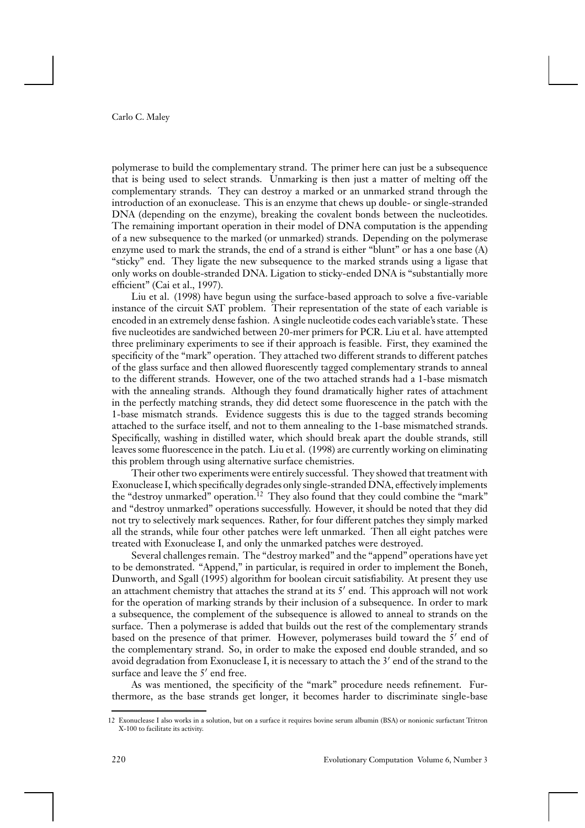polymerase to build the complementary strand. The primer here can just be a subsequence that is being used to select strands. Unmarking is then just a matter of melting off the complementary strands. They can destroy a marked or an unmarked strand through the introduction of an exonuclease. This is an enzyme that chews up double- or single-stranded DNA (depending on the enzyme), breaking the covalent bonds between the nucleotides. The remaining important operation in their model of DNA computation is the appending of a new subsequence to the marked (or unmarked) strands. Depending on the polymerase enzyme used to mark the strands, the end of a strand is either "blunt" or has a one base (A) "sticky" end. They ligate the new subsequence to the marked strands using a ligase that only works on double-stranded DNA. Ligation to sticky-ended DNA is "substantially more efficient" (Cai et al., 1997).

Liu et al. (1998) have begun using the surface-based approach to solve a five-variable instance of the circuit SAT problem. Their representation of the state of each variable is encoded in an extremely dense fashion. A single nucleotide codes each variable's state. These five nucleotides are sandwiched between 20-mer primers for PCR. Liu et al. have attempted three preliminary experiments to see if their approach is feasible. First, they examined the specificity of the "mark" operation. They attached two different strands to different patches of the glass surface and then allowed fluorescently tagged complementary strands to anneal to the different strands. However, one of the two attached strands had a 1-base mismatch with the annealing strands. Although they found dramatically higher rates of attachment in the perfectly matching strands, they did detect some fluorescence in the patch with the 1-base mismatch strands. Evidence suggests this is due to the tagged strands becoming attached to the surface itself, and not to them annealing to the 1-base mismatched strands. Specifically, washing in distilled water, which should break apart the double strands, still leaves some fluorescence in the patch. Liu et al. (1998) are currently working on eliminating this problem through using alternative surface chemistries.

Their other two experiments were entirely successful. They showed that treatment with Exonuclease I, which specifically degrades only single-stranded DNA, effectively implements the "destroy unmarked" operation.<sup>12</sup> They also found that they could combine the "mark" and "destroy unmarked" operations successfully. However, it should be noted that they did not try to selectively mark sequences. Rather, for four different patches they simply marked all the strands, while four other patches were left unmarked. Then all eight patches were treated with Exonuclease I, and only the unmarked patches were destroyed.

Several challenges remain. The "destroy marked" and the "append" operations have yet to be demonstrated. "Append," in particular, is required in order to implement the Boneh, Dunworth, and Sgall (1995) algorithm for boolean circuit satisfiability. At present they use an attachment chemistry that attaches the strand at its  $5^{\prime}$  end. This approach will not work for the operation of marking strands by their inclusion of a subsequence. In order to mark a subsequence, the complement of the subsequence is allowed to anneal to strands on the surface. Then a polymerase is added that builds out the rest of the complementary strands based on the presence of that primer. However, polymerases build toward the  $5'$  end of the complementary strand. So, in order to make the exposed end double stranded, and so avoid degradation from Exonuclease I, it is necessary to attach the  $3^\prime$  end of the strand to the surface and leave the 5' end free.

As was mentioned, the specificity of the "mark" procedure needs refinement. Furthermore, as the base strands get longer, it becomes harder to discriminate single-base

<sup>12</sup> Exonuclease I also works in a solution, but on a surface it requires bovine serum albumin (BSA) or nonionic surfactant Tritron X-100 to facilitate its activity.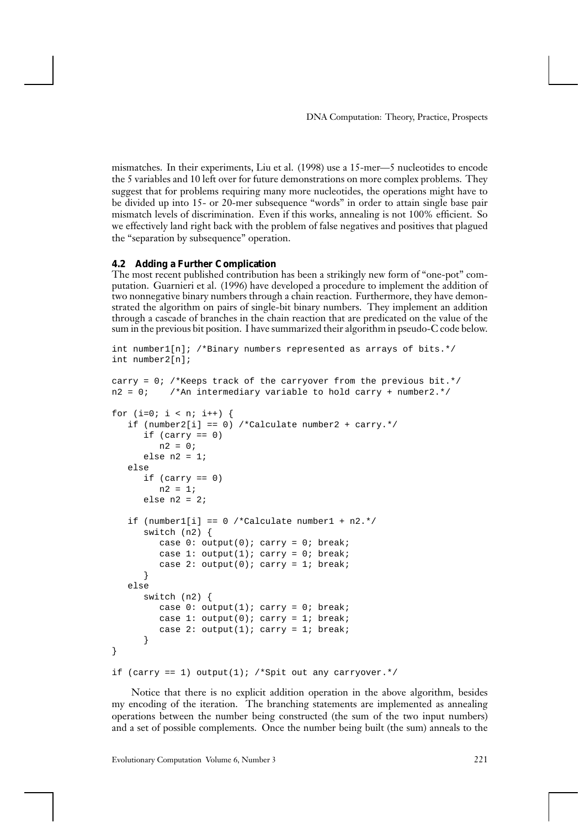mismatches. In their experiments, Liu et al. (1998) use a 15-mer—5 nucleotides to encode the 5 variables and 10 left over for future demonstrations on more complex problems. They suggest that for problems requiring many more nucleotides, the operations might have to be divided up into 15- or 20-mer subsequence "words" in order to attain single base pair mismatch levels of discrimination. Even if this works, annealing is not 100% efficient. So we effectively land right back with the problem of false negatives and positives that plagued the "separation by subsequence" operation.

#### **4.2 Adding a Further Complication**

The most recent published contribution has been a strikingly new form of "one-pot" computation. Guarnieri et al. (1996) have developed a procedure to implement the addition of two nonnegative binary numbers through a chain reaction. Furthermore, they have demonstrated the algorithm on pairs of single-bit binary numbers. They implement an addition through a cascade of branches in the chain reaction that are predicated on the value of the sum in the previous bit position. I have summarized their algorithm in pseudo-C code below.

```
int number1[n]; /*Binary numbers represented as arrays of bits.*/
int number2[n];
carry = 0; /*Keeps track of the carryover from the previous bit.*/
n2 = 0; /*An intermediary variable to hold carry + number2.*/
for (i=0; i < n; i++) {
   if (number2[i] == 0) /*Calculate number2 + carry.*/
      if (carry == 0)n2 = 0;else n2 = 1;
  else
      if (carry == 0)n2 = 1;else n2 = 2iif (number1[i] == 0 /*Calculate number1 + n2.*/
      switch (n2) {
        case 0: output(0); carry = 0; break;
        case 1: output(1); carry = 0; break;
        case 2: output(0); carry = 1; break;
      }
  else
     switch (n2) {
        case 0: output(1); carry = 0; break;
         case 1: output(0); carry = 1; break;
         case 2: output(1); carry = 1; break;
      }
}
if (carry == 1) output(1); /*Spit out any carryover.*/
```
Notice that there is no explicit addition operation in the above algorithm, besides my encoding of the iteration. The branching statements are implemented as annealing operations between the number being constructed (the sum of the two input numbers) and a set of possible complements. Once the number being built (the sum) anneals to the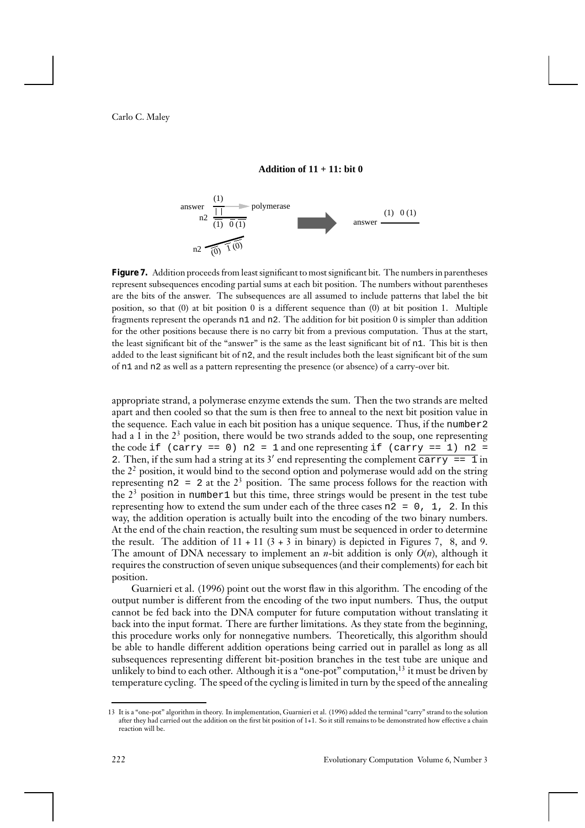## **Addition of 11 + 11: bit 0**



Figure 7. Addition proceeds from least significant to most significant bit. The numbers in parentheses represent subsequences encoding partial sums at each bit position. The numbers without parentheses are the bits of the answer. The subsequences are all assumed to include patterns that label the bit position, so that (0) at bit position 0 is a different sequence than (0) at bit position 1. Multiple fragments represent the operands n1 and n2. The addition for bit position 0 is simpler than addition for the other positions because there is no carry bit from a previous computation. Thus at the start, the least significant bit of the "answer" is the same as the least significant bit of n1. This bit is then added to the least significant bit of n2, and the result includes both the least significant bit of the sum of n1 and n2 as well as a pattern representing the presence (or absence) of a carry-over bit.

appropriate strand, a polymerase enzyme extends the sum. Then the two strands are melted apart and then cooled so that the sum is then free to anneal to the next bit position value in the sequence. Each value in each bit position has a unique sequence. Thus, if the number2 had a 1 in the  $2<sup>3</sup>$  position, there would be two strands added to the soup, one representing the code if (carry == 0)  $n2 = 1$  and one representing if (carry == 1)  $n2 =$ 2. Then, if the sum had a string at its 3' end representing the complement  $\overline{carry} == 1$  in the  $2<sup>2</sup>$  position, it would bind to the second option and polymerase would add on the string representing  $n^2 = 2$  at the  $2^3$  position. The same process follows for the reaction with the  $2<sup>3</sup>$  position in number1 but this time, three strings would be present in the test tube representing how to extend the sum under each of the three cases n2 = 0, 1, 2. In this way, the addition operation is actually built into the encoding of the two binary numbers. At the end of the chain reaction, the resulting sum must be sequenced in order to determine the result. The addition of  $11 + 11$  (3 + 3 in binary) is depicted in Figures 7, 8, and 9. The amount of DNA necessary to implement an *n*-bit addition is only *O*(*n*), although it requires the construction of seven unique subsequences (and their complements) for each bit position.

Guarnieri et al. (1996) point out the worst flaw in this algorithm. The encoding of the output number is different from the encoding of the two input numbers. Thus, the output cannot be fed back into the DNA computer for future computation without translating it back into the input format. There are further limitations. As they state from the beginning, this procedure works only for nonnegative numbers. Theoretically, this algorithm should be able to handle different addition operations being carried out in parallel as long as all subsequences representing different bit-position branches in the test tube are unique and unlikely to bind to each other. Although it is a "one-pot" computation, $13$  it must be driven by temperature cycling. The speed of the cycling is limited in turn by the speed of the annealing

<sup>13</sup> It is a "one-pot" algorithm in theory. In implementation, Guarnieri et al. (1996) added the terminal "carry" strand to the solution after they had carried out the addition on the first bit position of 1+1. So it still remains to be demonstrated how effective a chain reaction will be.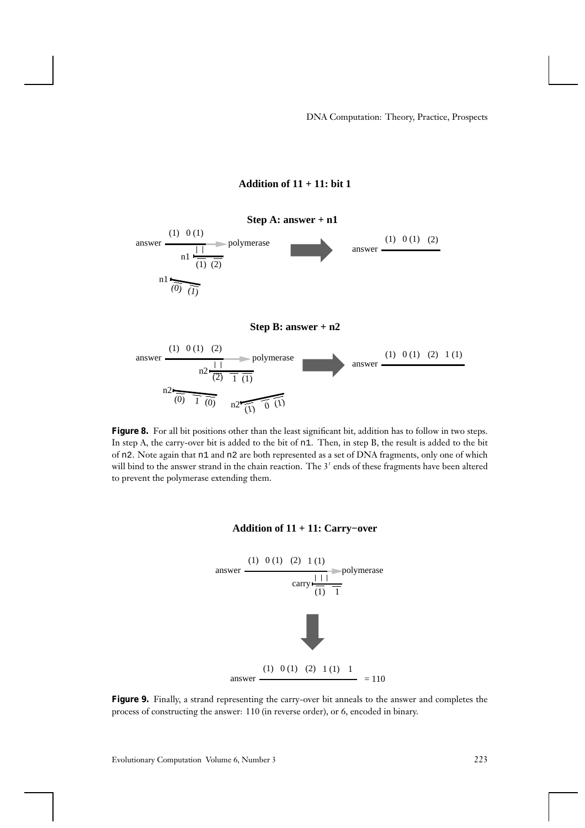DNA Computation: Theory, Practice, Prospects

#### **Step A: answer + n1**  $(1) 0 (1)$ polymerase (1) 0 (1) answer (2) answer  $n1 \frac{1}{(1)(2)}$ n1 (0)  $\overline{(1)}$ **Step B: answer + n2** (1) 0 (1) (2)  $(1) 0 (1)$ (2) 1 (1)  $\blacksquare$ answer polymerase answer n2  $(2)$   $\overline{1}$   $\overline{(1)}$ n2 (0)  $1 \overline{0}$   $n2 \overline{1}$   $\overline{0}$   $\overline{0}$   $\overline{1}$ n2

## **Addition of 11 + 11: bit 1**

Figure 8. For all bit positions other than the least significant bit, addition has to follow in two steps. In step A, the carry-over bit is added to the bit of n1. Then, in step B, the result is added to the bit of n2. Note again that n1 and n2 are both represented as a set of DNA fragments, only one of which will bind to the answer strand in the chain reaction. The  $3'$  ends of these fragments have been altered to prevent the polymerase extending them.

## **Addition of 11 + 11: Carry−over**



Figure 9. Finally, a strand representing the carry-over bit anneals to the answer and completes the process of constructing the answer: 110 (in reverse order), or 6, encoded in binary.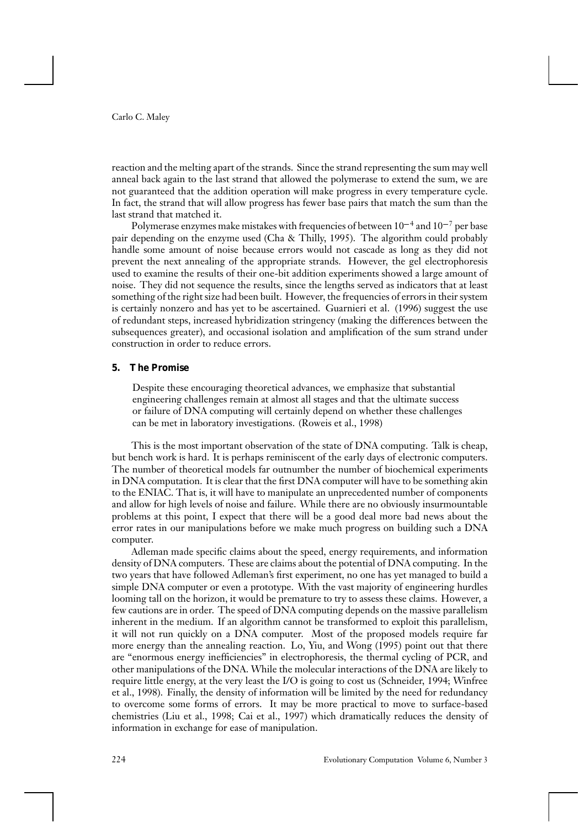reaction and the melting apart of the strands. Since the strand representing the sum may well anneal back again to the last strand that allowed the polymerase to extend the sum, we are not guaranteed that the addition operation will make progress in every temperature cycle. In fact, the strand that will allow progress has fewer base pairs that match the sum than the last strand that matched it.

Polymerase enzymes make mistakes with frequencies of between  $10^{-4}$  and  $10^{-7}$  per base pair depending on the enzyme used (Cha & Thilly, 1995). The algorithm could probably handle some amount of noise because errors would not cascade as long as they did not prevent the next annealing of the appropriate strands. However, the gel electrophoresis used to examine the results of their one-bit addition experiments showed a large amount of noise. They did not sequence the results, since the lengths served as indicators that at least something of the right size had been built. However, the frequencies of errors in their system is certainly nonzero and has yet to be ascertained. Guarnieri et al. (1996) suggest the use of redundant steps, increased hybridization stringency (making the differences between the subsequences greater), and occasional isolation and amplification of the sum strand under construction in order to reduce errors.

## **5. The Promise**

Despite these encouraging theoretical advances, we emphasize that substantial engineering challenges remain at almost all stages and that the ultimate success or failure of DNA computing will certainly depend on whether these challenges can be met in laboratory investigations. (Roweis et al., 1998)

This is the most important observation of the state of DNA computing. Talk is cheap, but bench work is hard. It is perhaps reminiscent of the early days of electronic computers. The number of theoretical models far outnumber the number of biochemical experiments in DNA computation. It is clear that the first DNA computer will have to be something akin to the ENIAC. That is, it will have to manipulate an unprecedented number of components and allow for high levels of noise and failure. While there are no obviously insurmountable problems at this point, I expect that there will be a good deal more bad news about the error rates in our manipulations before we make much progress on building such a DNA computer.

Adleman made specific claims about the speed, energy requirements, and information density of DNA computers. These are claims about the potential of DNA computing. In the two years that have followed Adleman's first experiment, no one has yet managed to build a simple DNA computer or even a prototype. With the vast majority of engineering hurdles looming tall on the horizon, it would be premature to try to assess these claims. However, a few cautions are in order. The speed of DNA computing depends on the massive parallelism inherent in the medium. If an algorithm cannot be transformed to exploit this parallelism, it will not run quickly on a DNA computer. Most of the proposed models require far more energy than the annealing reaction. Lo, Yiu, and Wong (1995) point out that there are "enormous energy inefficiencies" in electrophoresis, the thermal cycling of PCR, and other manipulations of the DNA. While the molecular interactions of the DNA are likely to require little energy, at the very least the I/O is going to cost us (Schneider, 1994; Winfree et al., 1998). Finally, the density of information will be limited by the need for redundancy to overcome some forms of errors. It may be more practical to move to surface-based chemistries (Liu et al., 1998; Cai et al., 1997) which dramatically reduces the density of information in exchange for ease of manipulation.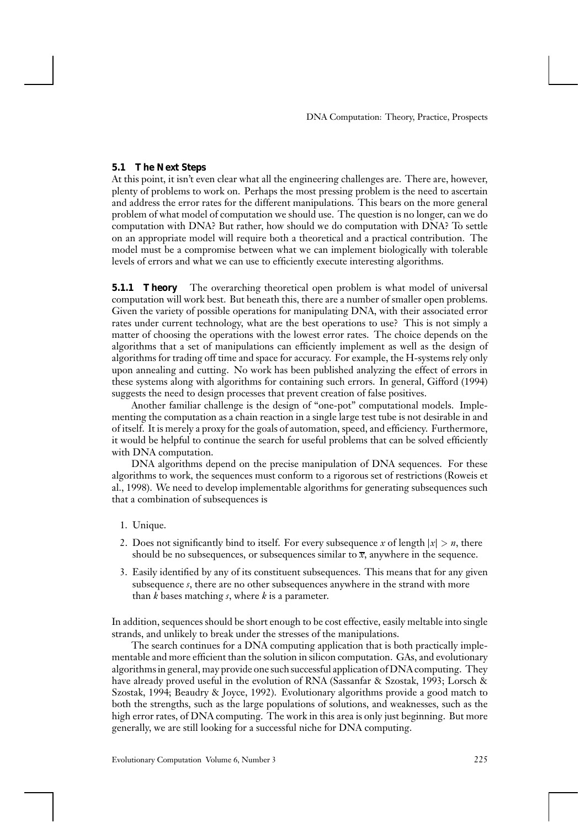# **5.1 The Next Steps**

At this point, it isn't even clear what all the engineering challenges are. There are, however, plenty of problems to work on. Perhaps the most pressing problem is the need to ascertain and address the error rates for the different manipulations. This bears on the more general problem of what model of computation we should use. The question is no longer, can we do computation with DNA? But rather, how should we do computation with DNA? To settle on an appropriate model will require both a theoretical and a practical contribution. The model must be a compromise between what we can implement biologically with tolerable levels of errors and what we can use to efficiently execute interesting algorithms.

**5.1.1 Theory** The overarching theoretical open problem is what model of universal computation will work best. But beneath this, there are a number of smaller open problems. Given the variety of possible operations for manipulating DNA, with their associated error rates under current technology, what are the best operations to use? This is not simply a matter of choosing the operations with the lowest error rates. The choice depends on the algorithms that a set of manipulations can efficiently implement as well as the design of algorithms for trading off time and space for accuracy. For example, the H-systems rely only upon annealing and cutting. No work has been published analyzing the effect of errors in these systems along with algorithms for containing such errors. In general, Gifford (1994) suggests the need to design processes that prevent creation of false positives.

Another familiar challenge is the design of "one-pot" computational models. Implementing the computation as a chain reaction in a single large test tube is not desirable in and of itself. It is merely a proxy for the goals of automation, speed, and efficiency. Furthermore, it would be helpful to continue the search for useful problems that can be solved efficiently with DNA computation.

DNA algorithms depend on the precise manipulation of DNA sequences. For these algorithms to work, the sequences must conform to a rigorous set of restrictions (Roweis et al., 1998). We need to develop implementable algorithms for generating subsequences such that a combination of subsequences is

- 1. Unique.
- 2. Does not significantly bind to itself. For every subsequence *x* of length  $|x| > n$ , there should be no subsequences, or subsequences similar to  $\overline{x}$ , anywhere in the sequence.
- 3. Easily identified by any of its constituent subsequences. This means that for any given subsequence *s*, there are no other subsequences anywhere in the strand with more than *k* bases matching *s*, where *k* is a parameter.

In addition, sequences should be short enough to be cost effective, easily meltable into single strands, and unlikely to break under the stresses of the manipulations.

The search continues for a DNA computing application that is both practically implementable and more efficient than the solution in silicon computation. GAs, and evolutionary algorithms in general, may provide one such successful application of DNA computing. They have already proved useful in the evolution of RNA (Sassanfar & Szostak, 1993; Lorsch & Szostak, 1994; Beaudry & Joyce, 1992). Evolutionary algorithms provide a good match to both the strengths, such as the large populations of solutions, and weaknesses, such as the high error rates, of DNA computing. The work in this area is only just beginning. But more generally, we are still looking for a successful niche for DNA computing.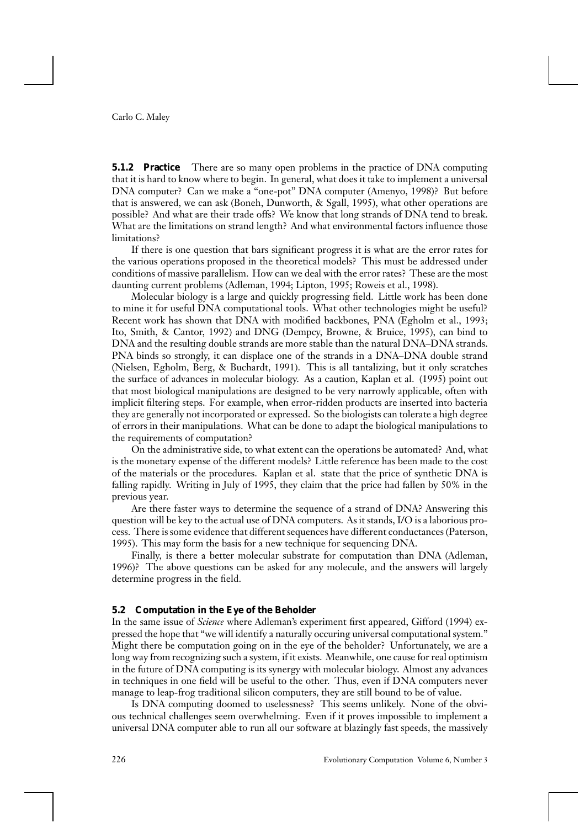**5.1.2 Practice** There are so many open problems in the practice of DNA computing that it is hard to know where to begin. In general, what does it take to implement a universal DNA computer? Can we make a "one-pot" DNA computer (Amenyo, 1998)? But before that is answered, we can ask (Boneh, Dunworth, & Sgall, 1995), what other operations are possible? And what are their trade offs? We know that long strands of DNA tend to break. What are the limitations on strand length? And what environmental factors influence those limitations?

If there is one question that bars significant progress it is what are the error rates for the various operations proposed in the theoretical models? This must be addressed under conditions of massive parallelism. How can we deal with the error rates? These are the most daunting current problems (Adleman, 1994; Lipton, 1995; Roweis et al., 1998).

Molecular biology is a large and quickly progressing field. Little work has been done to mine it for useful DNA computational tools. What other technologies might be useful? Recent work has shown that DNA with modified backbones, PNA (Egholm et al., 1993; Ito, Smith, & Cantor, 1992) and DNG (Dempcy, Browne, & Bruice, 1995), can bind to DNA and the resulting double strands are more stable than the natural DNA–DNA strands. PNA binds so strongly, it can displace one of the strands in a DNA–DNA double strand (Nielsen, Egholm, Berg, & Buchardt, 1991). This is all tantalizing, but it only scratches the surface of advances in molecular biology. As a caution, Kaplan et al. (1995) point out that most biological manipulations are designed to be very narrowly applicable, often with implicit filtering steps. For example, when error-ridden products are inserted into bacteria they are generally not incorporated or expressed. So the biologists can tolerate a high degree of errors in their manipulations. What can be done to adapt the biological manipulations to the requirements of computation?

On the administrative side, to what extent can the operations be automated? And, what is the monetary expense of the different models? Little reference has been made to the cost of the materials or the procedures. Kaplan et al. state that the price of synthetic DNA is falling rapidly. Writing in July of 1995, they claim that the price had fallen by 50% in the previous year.

Are there faster ways to determine the sequence of a strand of DNA? Answering this question will be key to the actual use of DNA computers. As it stands, I/O is a laborious process. There is some evidence that different sequences have different conductances (Paterson, 1995). This may form the basis for a new technique for sequencing DNA.

Finally, is there a better molecular substrate for computation than DNA (Adleman, 1996)? The above questions can be asked for any molecule, and the answers will largely determine progress in the field.

## **5.2 Computation in the Eye of the Beholder**

In the same issue of *Science* where Adleman's experiment first appeared, Gifford (1994) expressed the hope that "we will identify a naturally occuring universal computational system." Might there be computation going on in the eye of the beholder? Unfortunately, we are a long way from recognizing such a system, if it exists. Meanwhile, one cause for real optimism in the future of DNA computing is its synergy with molecular biology. Almost any advances in techniques in one field will be useful to the other. Thus, even if DNA computers never manage to leap-frog traditional silicon computers, they are still bound to be of value.

Is DNA computing doomed to uselessness? This seems unlikely. None of the obvious technical challenges seem overwhelming. Even if it proves impossible to implement a universal DNA computer able to run all our software at blazingly fast speeds, the massively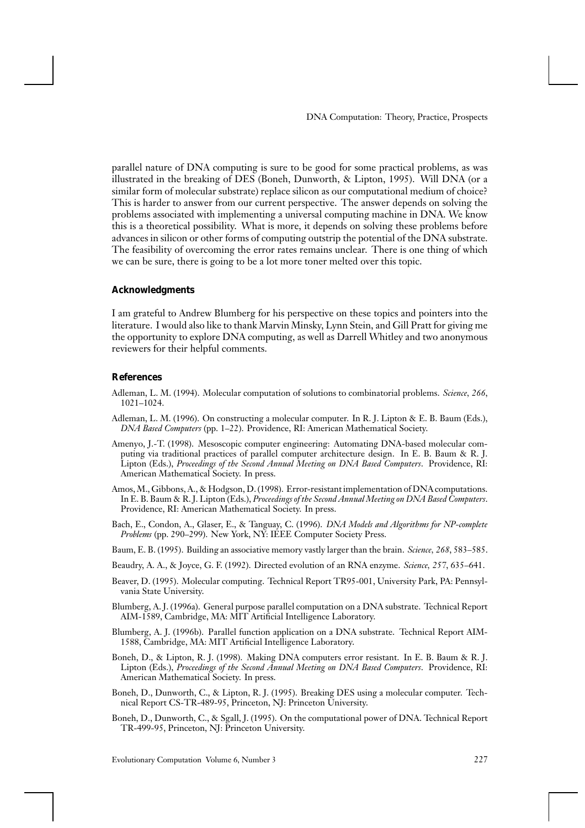parallel nature of DNA computing is sure to be good for some practical problems, as was illustrated in the breaking of DES (Boneh, Dunworth, & Lipton, 1995). Will DNA (or a similar form of molecular substrate) replace silicon as our computational medium of choice? This is harder to answer from our current perspective. The answer depends on solving the problems associated with implementing a universal computing machine in DNA. We know this is a theoretical possibility. What is more, it depends on solving these problems before advances in silicon or other forms of computing outstrip the potential of the DNA substrate. The feasibility of overcoming the error rates remains unclear. There is one thing of which we can be sure, there is going to be a lot more toner melted over this topic.

#### **Acknowledgments**

I am grateful to Andrew Blumberg for his perspective on these topics and pointers into the literature. I would also like to thank Marvin Minsky, Lynn Stein, and Gill Pratt for giving me the opportunity to explore DNA computing, as well as Darrell Whitley and two anonymous reviewers for their helpful comments.

#### **References**

- Adleman, L. M. (1994). Molecular computation of solutions to combinatorial problems. *Science, 266*, 1021–1024.
- Adleman, L. M. (1996). On constructing a molecular computer. In R. J. Lipton & E. B. Baum (Eds.), *DNA Based Computers* (pp. 1–22). Providence, RI: American Mathematical Society.
- Amenyo, J.-T. (1998). Mesoscopic computer engineering: Automating DNA-based molecular computing via traditional practices of parallel computer architecture design. In E. B. Baum & R. J. Lipton (Eds.), *Proceedings of the Second Annual Meeting on DNA Based Computers*. Providence, RI: American Mathematical Society. In press.
- Amos, M., Gibbons, A., & Hodgson, D. (1998). Error-resistant implementation of DNA computations. In E. B. Baum & R. J. Lipton (Eds.), *Proceedings of the Second Annual Meeting on DNA Based Computers*. Providence, RI: American Mathematical Society. In press.
- Bach, E., Condon, A., Glaser, E., & Tanguay, C. (1996). *DNA Models and Algorithms for NP-complete Problems* (pp. 290–299). New York, NY: IEEE Computer Society Press.
- Baum, E. B. (1995). Building an associative memory vastly larger than the brain. *Science, 268*, 583–585.
- Beaudry, A. A., & Joyce, G. F. (1992). Directed evolution of an RNA enzyme. *Science, 257*, 635–641.
- Beaver, D. (1995). Molecular computing. Technical Report TR95-001, University Park, PA: Pennsylvania State University.
- Blumberg, A. J. (1996a). General purpose parallel computation on a DNA substrate. Technical Report AIM-1589, Cambridge, MA: MIT Artificial Intelligence Laboratory.
- Blumberg, A. J. (1996b). Parallel function application on a DNA substrate. Technical Report AIM-1588, Cambridge, MA: MIT Artificial Intelligence Laboratory.
- Boneh, D., & Lipton, R. J. (1998). Making DNA computers error resistant. In E. B. Baum & R. J. Lipton (Eds.), *Proceedings of the Second Annual Meeting on DNA Based Computers*. Providence, RI: American Mathematical Society. In press.
- Boneh, D., Dunworth, C., & Lipton, R. J. (1995). Breaking DES using a molecular computer. Technical Report CS-TR-489-95, Princeton, NJ: Princeton University.
- Boneh, D., Dunworth, C., & Sgall, J. (1995). On the computational power of DNA. Technical Report TR-499-95, Princeton, NJ: Princeton University.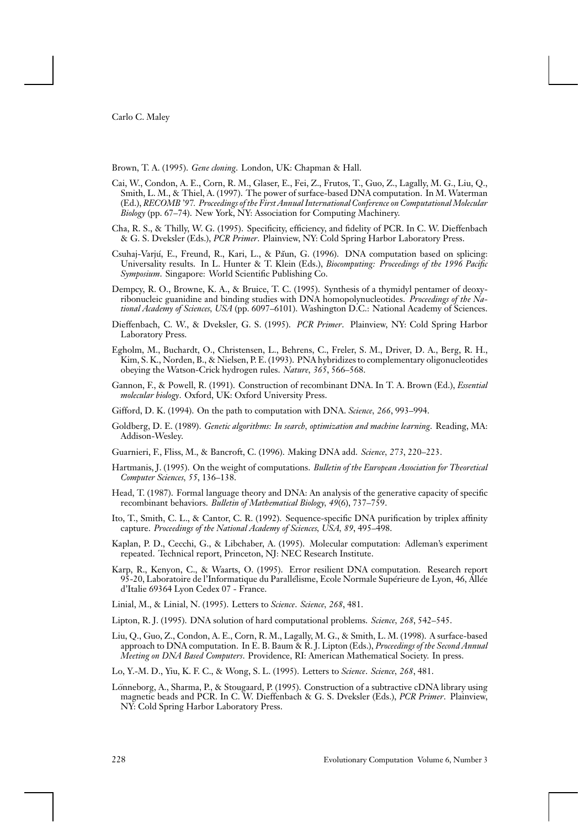Brown, T. A. (1995). *Gene cloning*. London, UK: Chapman & Hall.

- Cai, W., Condon, A. E., Corn, R. M., Glaser, E., Fei, Z., Frutos, T., Guo, Z., Lagally, M. G., Liu, Q., Smith, L. M., & Thiel, A. (1997). The power of surface-based DNA computation. In M. Waterman (Ed.), *RECOMB '97. Proceedings of the First Annual International Conference on Computational Molecular Biology* (pp. 67–74). New York, NY: Association for Computing Machinery.
- Cha, R. S., & Thilly, W. G. (1995). Specificity, efficiency, and fidelity of PCR. In C. W. Dieffenbach & G. S. Dveksler (Eds.), *PCR Primer*. Plainview, NY: Cold Spring Harbor Laboratory Press.
- Csuhaj-Varjú, E., Freund, R., Kari, L., & Păun, G. (1996). DNA computation based on splicing: Universality results. In L. Hunter & T. Klein (Eds.), *Biocomputing: Proceedings of the 1996 Pacific Symposium*. Singapore: World Scientific Publishing Co.
- Dempcy, R. O., Browne, K. A., & Bruice, T. C. (1995). Synthesis of a thymidyl pentamer of deoxyribonucleic guanidine and binding studies with DNA homopolynucleotides. *Proceedings of the National Academy of Sciences, USA* (pp. 6097–6101). Washington D.C.: National Academy of Sciences.
- Dieffenbach, C. W., & Dveksler, G. S. (1995). *PCR Primer*. Plainview, NY: Cold Spring Harbor Laboratory Press.
- Egholm, M., Buchardt, O., Christensen, L., Behrens, C., Freler, S. M., Driver, D. A., Berg, R. H., Kim, S. K., Norden, B., & Nielsen, P. E. (1993). PNA hybridizes to complementary oligonucleotides obeying the Watson-Crick hydrogen rules. *Nature, 365*, 566–568.
- Gannon, F., & Powell, R. (1991). Construction of recombinant DNA. In T. A. Brown (Ed.), *Essential molecular biology*. Oxford, UK: Oxford University Press.
- Gifford, D. K. (1994). On the path to computation with DNA. *Science, 266*, 993–994.
- Goldberg, D. E. (1989). *Genetic algorithms: In search, optimization and machine learning*. Reading, MA: Addison-Wesley.
- Guarnieri, F., Fliss, M., & Bancroft, C. (1996). Making DNA add. *Science, 273*, 220–223.
- Hartmanis, J. (1995). On the weight of computations. *Bulletin of the European Association for Theoretical Computer Sciences, 55*, 136–138.
- Head, T. (1987). Formal language theory and DNA: An analysis of the generative capacity of specific recombinant behaviors. *Bulletin of Mathematical Biology, 49*(6), 737–759.
- Ito, T., Smith, C. L., & Cantor, C. R. (1992). Sequence-specific DNA purification by triplex affinity capture. *Proceedings of the National Academy of Sciences, USA, 89*, 495–498.
- Kaplan, P. D., Cecchi, G., & Libchaber, A. (1995). Molecular computation: Adleman's experiment repeated. Technical report, Princeton, NJ: NEC Research Institute.
- Karp, R., Kenyon, C., & Waarts, O. (1995). Error resilient DNA computation. Research report 95-20, Laboratoire de l'Informatique du Parallélisme, Ecole Normale Supérieure de Lyon, 46, Allée d'Italie 69364 Lyon Cedex 07 - France.

Linial, M., & Linial, N. (1995). Letters to *Science*. *Science, 268*, 481.

Lipton, R. J. (1995). DNA solution of hard computational problems. *Science, 268*, 542–545.

Liu, Q., Guo, Z., Condon, A. E., Corn, R. M., Lagally, M. G., & Smith, L. M. (1998). A surface-based approach to DNA computation. In E. B. Baum & R. J. Lipton (Eds.), *Proceedings of the Second Annual Meeting on DNA Based Computers*. Providence, RI: American Mathematical Society. In press.

Lo, Y.-M. D., Yiu, K. F. C., & Wong, S. L. (1995). Letters to *Science*. *Science, 268*, 481.

Lönneborg, A., Sharma, P., & Stougaard, P. (1995). Construction of a subtractive cDNA library using magnetic beads and PCR. In C. W. Dieffenbach & G. S. Dveksler (Eds.), *PCR Primer*. Plainview, NY: Cold Spring Harbor Laboratory Press.